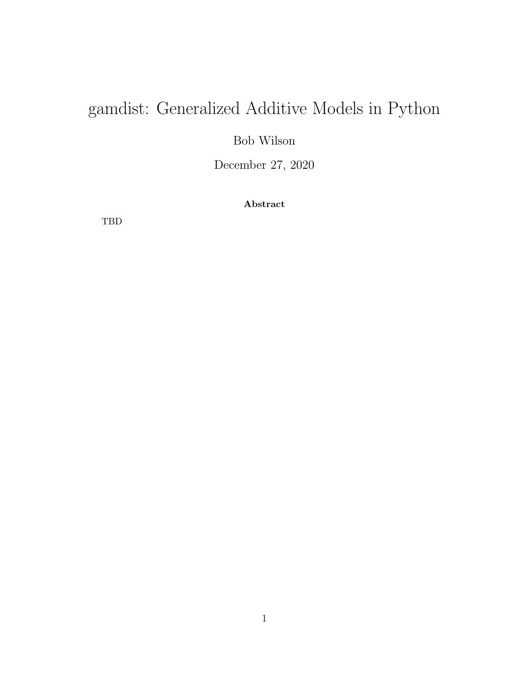# gamdist: Generalized Additive Models in Python

Bob Wilson

December 27, 2020

Abstract

TBD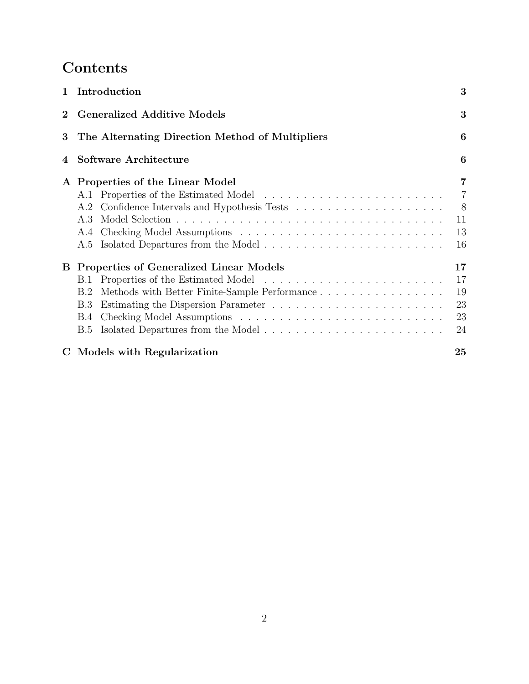## Contents

|             | 1 Introduction                                       | 3              |
|-------------|------------------------------------------------------|----------------|
| $2^{\circ}$ | <b>Generalized Additive Models</b>                   | 3              |
|             | 3 The Alternating Direction Method of Multipliers    | 6              |
| 4           | Software Architecture                                | 6              |
|             | A Properties of the Linear Model                     | $\overline{7}$ |
|             |                                                      | $\overline{7}$ |
|             |                                                      | 8 <sup>8</sup> |
|             | A.3                                                  | 11             |
|             |                                                      | 13             |
|             |                                                      | 16             |
|             | <b>B</b> Properties of Generalized Linear Models     | 17             |
|             | B.1                                                  | 17             |
|             | Methods with Better Finite-Sample Performance<br>B.2 | 19             |
|             | <b>B.3</b>                                           | 23             |
|             | <b>B.4</b>                                           | 23             |
|             | Isolated Departures from the Model<br>B.5            | 24             |
|             | C Models with Regularization                         | 25             |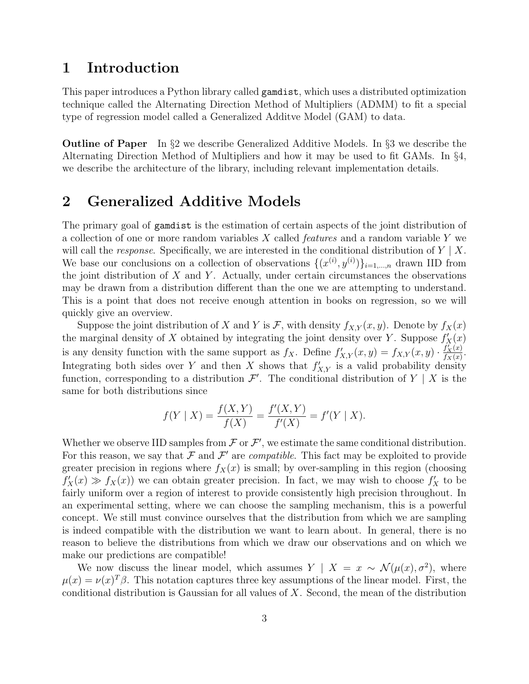### 1 Introduction

This paper introduces a Python library called gamdist, which uses a distributed optimization technique called the Alternating Direction Method of Multipliers (ADMM) to fit a special type of regression model called a Generalized Additve Model (GAM) to data.

Outline of Paper In §2 we describe Generalized Additive Models. In §3 we describe the Alternating Direction Method of Multipliers and how it may be used to fit GAMs. In §4, we describe the architecture of the library, including relevant implementation details.

### 2 Generalized Additive Models

The primary goal of gamdist is the estimation of certain aspects of the joint distribution of a collection of one or more random variables X called features and a random variable Y we will call the *response*. Specifically, we are interested in the conditional distribution of  $Y \mid X$ . We base our conclusions on a collection of observations  $\{(x^{(i)}, y^{(i)})\}_{i=1,\dots,n}$  drawn IID from the joint distribution of  $X$  and  $Y$ . Actually, under certain circumstances the observations may be drawn from a distribution different than the one we are attempting to understand. This is a point that does not receive enough attention in books on regression, so we will quickly give an overview.

Suppose the joint distribution of X and Y is F, with density  $f_{X,Y}(x, y)$ . Denote by  $f_X(x)$ the marginal density of X obtained by integrating the joint density over Y. Suppose  $f'_{X}(x)$ is any density function with the same support as  $f_X$ . Define  $f'_{X,Y}(x,y) = f_{X,Y}(x,y) \cdot \frac{f'_X(x)}{f_X(x)}$  $\frac{f_X(x)}{f_X(x)}$ . Integrating both sides over Y and then X shows that  $f'_{X,Y}$  is a valid probability density function, corresponding to a distribution  $\mathcal{F}'$ . The conditional distribution of Y | X is the same for both distributions since

$$
f(Y | X) = \frac{f(X, Y)}{f(X)} = \frac{f'(X, Y)}{f'(X)} = f'(Y | X).
$$

Whether we observe IID samples from  $\mathcal F$  or  $\mathcal F'$ , we estimate the same conditional distribution. For this reason, we say that  $\mathcal F$  and  $\mathcal F'$  are *compatible*. This fact may be exploited to provide greater precision in regions where  $f_X(x)$  is small; by over-sampling in this region (choosing  $f'_X(x) \gg f_X(x)$  we can obtain greater precision. In fact, we may wish to choose  $f'_X$  to be fairly uniform over a region of interest to provide consistently high precision throughout. In an experimental setting, where we can choose the sampling mechanism, this is a powerful concept. We still must convince ourselves that the distribution from which we are sampling is indeed compatible with the distribution we want to learn about. In general, there is no reason to believe the distributions from which we draw our observations and on which we make our predictions are compatible!

We now discuss the linear model, which assumes  $Y \mid X = x \sim \mathcal{N}(\mu(x), \sigma^2)$ , where  $\mu(x) = \nu(x)^T \beta$ . This notation captures three key assumptions of the linear model. First, the conditional distribution is Gaussian for all values of X. Second, the mean of the distribution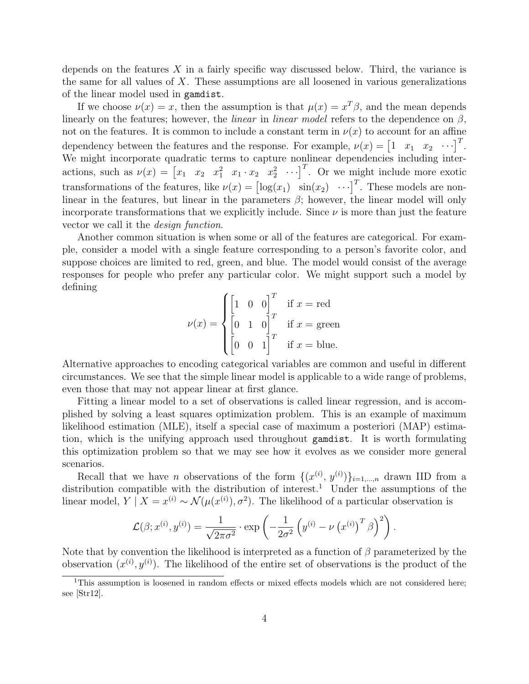depends on the features  $X$  in a fairly specific way discussed below. Third, the variance is the same for all values of  $X$ . These assumptions are all loosened in various generalizations of the linear model used in gamdist.

If we choose  $\nu(x) = x$ , then the assumption is that  $\mu(x) = x^T \beta$ , and the mean depends linearly on the features; however, the *linear* in *linear model* refers to the dependence on  $\beta$ , not on the features. It is common to include a constant term in  $\nu(x)$  to account for an affine dependency between the features and the response. For example,  $\nu(x) = \begin{bmatrix} 1 & x_1 & x_2 & \cdots \end{bmatrix}^T$ . We might incorporate quadratic terms to capture nonlinear dependencies including interactions, such as  $\nu(x) = \begin{bmatrix} x_1 & x_2 & x_1^2 & x_1 \cdot x_2 & x_2^2 & \cdots \end{bmatrix}^T$ . Or we might include more exotic transformations of the features, like  $\nu(x) = [\log(x_1) \sin(x_2) \cdots]^T$ . These models are nonlinear in the features, but linear in the parameters  $\beta$ ; however, the linear model will only incorporate transformations that we explicitly include. Since  $\nu$  is more than just the feature vector we call it the design function.

Another common situation is when some or all of the features are categorical. For example, consider a model with a single feature corresponding to a person's favorite color, and suppose choices are limited to red, green, and blue. The model would consist of the average responses for people who prefer any particular color. We might support such a model by defining

$$
\nu(x) = \begin{cases} \begin{bmatrix} 1 & 0 & 0 \end{bmatrix}^T & \text{if } x = \text{red} \\ \begin{bmatrix} 0 & 1 & 0 \end{bmatrix}^T & \text{if } x = \text{green} \\ \begin{bmatrix} 0 & 0 & 1 \end{bmatrix}^T & \text{if } x = \text{blue.} \end{cases}
$$

Alternative approaches to encoding categorical variables are common and useful in different circumstances. We see that the simple linear model is applicable to a wide range of problems, even those that may not appear linear at first glance.

Fitting a linear model to a set of observations is called linear regression, and is accomplished by solving a least squares optimization problem. This is an example of maximum likelihood estimation (MLE), itself a special case of maximum a posteriori (MAP) estimation, which is the unifying approach used throughout gamdist. It is worth formulating this optimization problem so that we may see how it evolves as we consider more general scenarios.

Recall that we have *n* observations of the form  $\{(x^{(i)}, y^{(i)})\}_{i=1,\dots,n}$  drawn IID from a distribution compatible with the distribution of interest.<sup>1</sup> Under the assumptions of the linear model,  $Y \mid X = x^{(i)} \sim \mathcal{N}(\mu(x^{(i)}), \sigma^2)$ . The likelihood of a particular observation is

$$
\mathcal{L}(\beta; x^{(i)}, y^{(i)}) = \frac{1}{\sqrt{2\pi\sigma^2}} \cdot \exp\left(-\frac{1}{2\sigma^2} \left(y^{(i)} - \nu \left(x^{(i)}\right)^T \beta\right)^2\right).
$$

Note that by convention the likelihood is interpreted as a function of  $\beta$  parameterized by the observation  $(x^{(i)}, y^{(i)})$ . The likelihood of the entire set of observations is the product of the

<sup>&</sup>lt;sup>1</sup>This assumption is loosened in random effects or mixed effects models which are not considered here; see [Str12].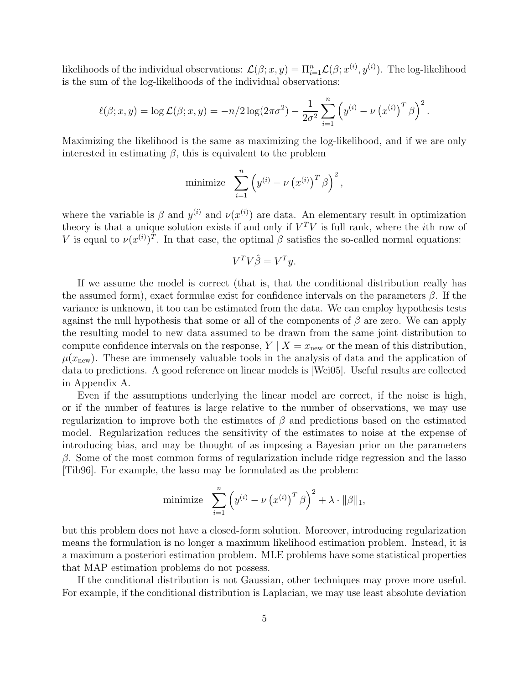likelihoods of the individual observations:  $\mathcal{L}(\beta; x, y) = \prod_{i=1}^n \mathcal{L}(\beta; x^{(i)}, y^{(i)})$ . The log-likelihood is the sum of the log-likelihoods of the individual observations:

$$
\ell(\beta; x, y) = \log \mathcal{L}(\beta; x, y) = -n/2 \log(2\pi\sigma^2) - \frac{1}{2\sigma^2} \sum_{i=1}^n (y^{(i)} - \nu (x^{(i)})^T \beta)^2.
$$

Maximizing the likelihood is the same as maximizing the log-likelihood, and if we are only interested in estimating  $\beta$ , this is equivalent to the problem

minimize 
$$
\sum_{i=1}^{n} \left( y^{(i)} - \nu \left( x^{(i)} \right)^T \beta \right)^2,
$$

where the variable is  $\beta$  and  $y^{(i)}$  and  $\nu(x^{(i)})$  are data. An elementary result in optimization theory is that a unique solution exists if and only if  $V^T V$  is full rank, where the *i*th row of V is equal to  $\nu(x^{(i)})^T$ . In that case, the optimal  $\beta$  satisfies the so-called normal equations:

$$
V^T V \hat{\beta} = V^T y.
$$

If we assume the model is correct (that is, that the conditional distribution really has the assumed form), exact formulae exist for confidence intervals on the parameters  $\beta$ . If the variance is unknown, it too can be estimated from the data. We can employ hypothesis tests against the null hypothesis that some or all of the components of  $\beta$  are zero. We can apply the resulting model to new data assumed to be drawn from the same joint distribution to compute confidence intervals on the response,  $Y \mid X = x_{\text{new}}$  or the mean of this distribution,  $\mu(x_{\text{new}})$ . These are immensely valuable tools in the analysis of data and the application of data to predictions. A good reference on linear models is [Wei05]. Useful results are collected in Appendix A.

Even if the assumptions underlying the linear model are correct, if the noise is high, or if the number of features is large relative to the number of observations, we may use regularization to improve both the estimates of  $\beta$  and predictions based on the estimated model. Regularization reduces the sensitivity of the estimates to noise at the expense of introducing bias, and may be thought of as imposing a Bayesian prior on the parameters  $\beta$ . Some of the most common forms of regularization include ridge regression and the lasso [Tib96]. For example, the lasso may be formulated as the problem:

minimize 
$$
\sum_{i=1}^{n} \left( y^{(i)} - \nu \left( x^{(i)} \right)^T \beta \right)^2 + \lambda \cdot ||\beta||_1,
$$

but this problem does not have a closed-form solution. Moreover, introducing regularization means the formulation is no longer a maximum likelihood estimation problem. Instead, it is a maximum a posteriori estimation problem. MLE problems have some statistical properties that MAP estimation problems do not possess.

If the conditional distribution is not Gaussian, other techniques may prove more useful. For example, if the conditional distribution is Laplacian, we may use least absolute deviation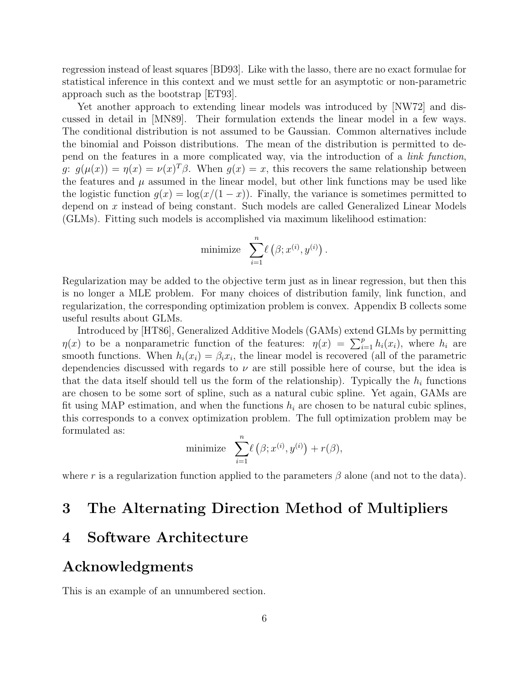regression instead of least squares [BD93]. Like with the lasso, there are no exact formulae for statistical inference in this context and we must settle for an asymptotic or non-parametric approach such as the bootstrap [ET93].

Yet another approach to extending linear models was introduced by [NW72] and discussed in detail in [MN89]. Their formulation extends the linear model in a few ways. The conditional distribution is not assumed to be Gaussian. Common alternatives include the binomial and Poisson distributions. The mean of the distribution is permitted to depend on the features in a more complicated way, via the introduction of a link function, g:  $g(\mu(x)) = \eta(x) = \nu(x)^T \beta$ . When  $g(x) = x$ , this recovers the same relationship between the features and  $\mu$  assumed in the linear model, but other link functions may be used like the logistic function  $g(x) = \log(x/(1-x))$ . Finally, the variance is sometimes permitted to depend on x instead of being constant. Such models are called Generalized Linear Models (GLMs). Fitting such models is accomplished via maximum likelihood estimation:

minimize 
$$
\sum_{i=1}^n \ell(\beta; x^{(i)}, y^{(i)}).
$$

Regularization may be added to the objective term just as in linear regression, but then this is no longer a MLE problem. For many choices of distribution family, link function, and regularization, the corresponding optimization problem is convex. Appendix B collects some useful results about GLMs.

Introduced by [HT86], Generalized Additive Models (GAMs) extend GLMs by permitting  $\eta(x)$  to be a nonparametric function of the features:  $\eta(x) = \sum_{i=1}^{p} h_i(x_i)$ , where  $h_i$  are smooth functions. When  $h_i(x_i) = \beta_i x_i$ , the linear model is recovered (all of the parametric dependencies discussed with regards to  $\nu$  are still possible here of course, but the idea is that the data itself should tell us the form of the relationship). Typically the  $h_i$  functions are chosen to be some sort of spline, such as a natural cubic spline. Yet again, GAMs are fit using MAP estimation, and when the functions  $h_i$  are chosen to be natural cubic splines, this corresponds to a convex optimization problem. The full optimization problem may be formulated as:

minimize 
$$
\sum_{i=1}^n \ell(\beta; x^{(i)}, y^{(i)}) + r(\beta),
$$

where r is a regularization function applied to the parameters  $\beta$  alone (and not to the data).

### 3 The Alternating Direction Method of Multipliers

### 4 Software Architecture

### Acknowledgments

This is an example of an unnumbered section.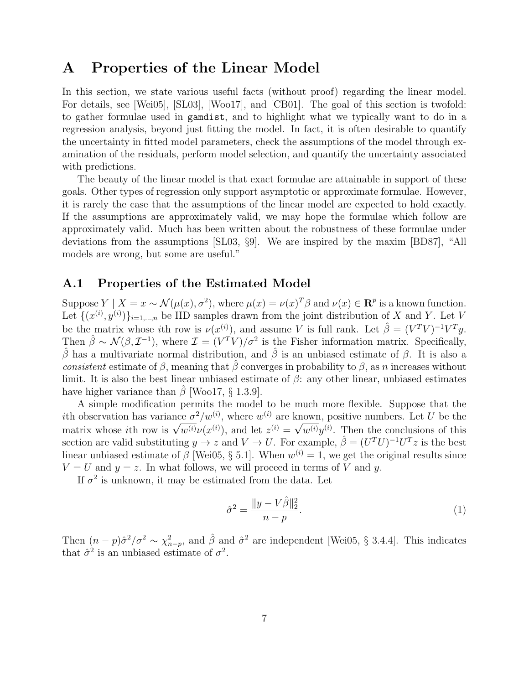### A Properties of the Linear Model

In this section, we state various useful facts (without proof) regarding the linear model. For details, see [Wei05], [SL03], [Woo17], and [CB01]. The goal of this section is twofold: to gather formulae used in gamdist, and to highlight what we typically want to do in a regression analysis, beyond just fitting the model. In fact, it is often desirable to quantify the uncertainty in fitted model parameters, check the assumptions of the model through examination of the residuals, perform model selection, and quantify the uncertainty associated with predictions.

The beauty of the linear model is that exact formulae are attainable in support of these goals. Other types of regression only support asymptotic or approximate formulae. However, it is rarely the case that the assumptions of the linear model are expected to hold exactly. If the assumptions are approximately valid, we may hope the formulae which follow are approximately valid. Much has been written about the robustness of these formulae under deviations from the assumptions [SL03, §9]. We are inspired by the maxim [BD87], "All models are wrong, but some are useful."

#### A.1 Properties of the Estimated Model

Suppose  $Y \mid X = x \sim \mathcal{N}(\mu(x), \sigma^2)$ , where  $\mu(x) = \nu(x)^T \beta$  and  $\nu(x) \in \mathbb{R}^p$  is a known function. Let  $\{(x^{(i)}, y^{(i)})\}_{i=1,\dots,n}$  be IID samples drawn from the joint distribution of X and Y. Let V be the matrix whose *i*th row is  $\nu(x^{(i)})$ , and assume V is full rank. Let  $\hat{\beta} = (V^T V)^{-1} V^T y$ . Then  $\hat{\beta} \sim \mathcal{N}(\beta, \mathcal{I}^{-1})$ , where  $\mathcal{I} = (V^T V)/\sigma^2$  is the Fisher information matrix. Specifically,  $\hat{\beta}$  has a multivariate normal distribution, and  $\hat{\beta}$  is an unbiased estimate of  $\beta$ . It is also a consistent estimate of  $\beta$ , meaning that  $\beta$  converges in probability to  $\beta$ , as n increases without limit. It is also the best linear unbiased estimate of  $\beta$ : any other linear, unbiased estimates have higher variance than  $\hat{\beta}$  [Woo17, § 1.3.9].

A simple modification permits the model to be much more flexible. Suppose that the ith observation has variance  $\sigma^2/w^{(i)}$ , where  $w^{(i)}$  are known, positive numbers. Let U be the th observation has variance  $\sigma^2/w^{(i)}$ , where  $w^{(i)}$  are known, positive numbers. Let U be the matrix whose *i*th row is  $\sqrt{w^{(i)}}\nu(x^{(i)})$ , and let  $z^{(i)} = \sqrt{w^{(i)}}y^{(i)}$ . Then the conclusions of this section are valid substituting  $y \to z$  and  $V \to U$ . For example,  $\hat{\beta} = (U^T U)^{-1} U^T z$  is the best linear unbiased estimate of  $\beta$  [Wei05, § 5.1]. When  $w^{(i)} = 1$ , we get the original results since  $V = U$  and  $y = z$ . In what follows, we will proceed in terms of V and y.

If  $\sigma^2$  is unknown, it may be estimated from the data. Let

$$
\hat{\sigma}^2 = \frac{\|y - V\hat{\beta}\|_2^2}{n - p}.\tag{1}
$$

Then  $(n-p)\hat{\sigma}^2/\sigma^2 \sim \chi^2_{n-p}$ , and  $\hat{\beta}$  and  $\hat{\sigma}^2$  are independent [Wei05, § 3.4.4]. This indicates that  $\hat{\sigma}^2$  is an unbiased estimate of  $\sigma^2$ .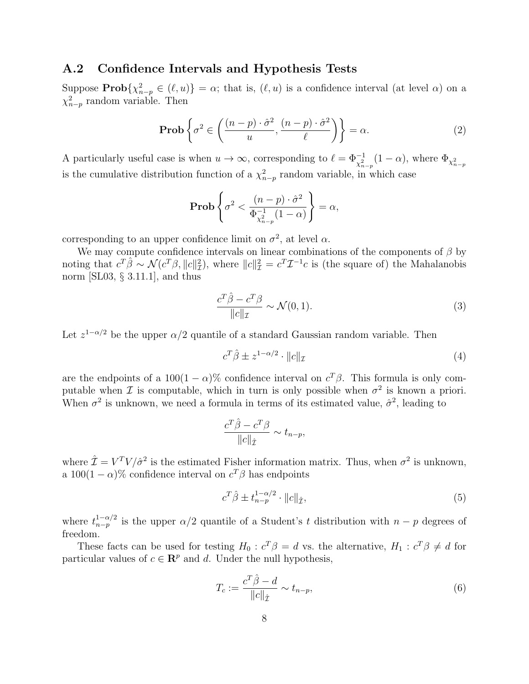#### A.2 Confidence Intervals and Hypothesis Tests

Suppose  $\mathbf{Prob}\{\chi_{n-p}^2 \in (\ell, u)\} = \alpha$ ; that is,  $(\ell, u)$  is a confidence interval (at level  $\alpha$ ) on a  $\chi^2_{n-p}$  random variable. Then

$$
\mathbf{Prob}\left\{\sigma^2 \in \left(\frac{(n-p)\cdot\hat{\sigma}^2}{u}, \frac{(n-p)\cdot\hat{\sigma}^2}{\ell}\right)\right\} = \alpha.
$$
\n(2)

A particularly useful case is when  $u \to \infty$ , corresponding to  $\ell = \Phi_{\chi^2_{n-p}}^{-1}(1-\alpha)$ , where  $\Phi_{\chi^2_{n-p}}$ is the cumulative distribution function of a  $\chi^2_{n-p}$  random variable, in which case

$$
\operatorname{Prob}\left\{\sigma^2 < \frac{(n-p)\cdot \hat{\sigma}^2}{\Phi_{\chi^2_{n-p}}^{-1}(1-\alpha)}\right\} = \alpha,
$$

corresponding to an upper confidence limit on  $\sigma^2$ , at level  $\alpha$ .

We may compute confidence intervals on linear combinations of the components of  $\beta$  by noting that  $c^T \hat{\beta} \sim \mathcal{N}(c^T \beta, ||c||^2_{\mathcal{I}})$ , where  $||c||^2_{\mathcal{I}} = c^T \mathcal{I}^{-1} c$  is (the square of) the Mahalanobis norm [SL03, § 3.11.1], and thus

$$
\frac{c^T \hat{\beta} - c^T \beta}{\|c\|_{\mathcal{I}}} \sim \mathcal{N}(0, 1). \tag{3}
$$

Let  $z^{1-\alpha/2}$  be the upper  $\alpha/2$  quantile of a standard Gaussian random variable. Then

$$
c^T \hat{\beta} \pm z^{1-\alpha/2} \cdot ||c||_{\mathcal{I}} \tag{4}
$$

are the endpoints of a  $100(1-\alpha)\%$  confidence interval on  $c^T\beta$ . This formula is only computable when  $\mathcal I$  is computable, which in turn is only possible when  $\sigma^2$  is known a priori. When  $\sigma^2$  is unknown, we need a formula in terms of its estimated value,  $\hat{\sigma}^2$ , leading to

$$
\frac{c^T \hat{\beta} - c^T \beta}{\|c\|_{\hat{\mathcal{I}}}} \sim t_{n-p},
$$

where  $\hat{\mathcal{I}} = V^T V / \hat{\sigma}^2$  is the estimated Fisher information matrix. Thus, when  $\sigma^2$  is unknown, a 100(1 –  $\alpha$ )% confidence interval on  $c^T\beta$  has endpoints

$$
c^T \hat{\beta} \pm t_{n-p}^{1-\alpha/2} \cdot ||c||_{\hat{\mathcal{I}}},\tag{5}
$$

where  $t_{n-p}^{1-\alpha/2}$  $n-p$  is the upper  $\alpha/2$  quantile of a Student's t distribution with  $n-p$  degrees of freedom.

These facts can be used for testing  $H_0$ :  $c^T \beta = d$  vs. the alternative,  $H_1 : c^T \beta \neq d$  for particular values of  $c \in \mathbb{R}^p$  and d. Under the null hypothesis,

$$
T_c := \frac{c^T \hat{\beta} - d}{\|c\|_{\hat{\mathcal{I}}}} \sim t_{n-p},\tag{6}
$$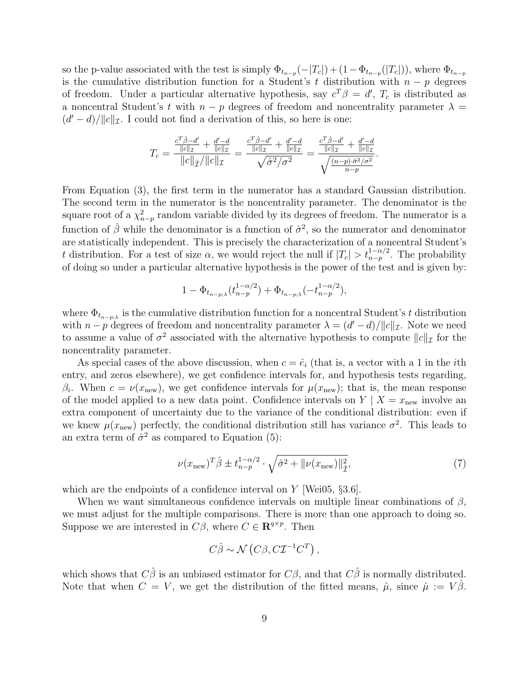so the p-value associated with the test is simply  $\Phi_{t_{n-p}}(-|T_c|) + (1 - \Phi_{t_{n-p}}(|T_c|))$ , where  $\Phi_{t_{n-p}}$ is the cumulative distribution function for a Student's t distribution with  $n - p$  degrees of freedom. Under a particular alternative hypothesis, say  $c^T \beta = d'$ ,  $T_c$  is distributed as a noncentral Student's t with  $n - p$  degrees of freedom and noncentrality parameter  $\lambda =$  $(d'-d)/||c||_{\mathcal{I}}$ . I could not find a derivation of this, so here is one:

$$
T_c = \frac{\frac{c^T \hat{\beta} - d'}{\|c\|_{\mathcal{I}}} + \frac{d' - d}{\|c\|_{\mathcal{I}}}}{\|c\|_{\hat{\mathcal{I}}}/\|c\|_{\mathcal{I}}} = \frac{\frac{c^T \hat{\beta} - d'}{\|c\|_{\mathcal{I}}} + \frac{d' - d}{\|c\|_{\mathcal{I}}}}{\sqrt{\hat{\sigma}^2/\sigma^2}} = \frac{\frac{c^T \hat{\beta} - d'}{\|c\|_{\mathcal{I}}} + \frac{d' - d}{\|c\|_{\mathcal{I}}}}{\sqrt{\frac{(n-p) \cdot \hat{\sigma}^2/\sigma^2}{n-p}}}.
$$

From Equation (3), the first term in the numerator has a standard Gaussian distribution. The second term in the numerator is the noncentrality parameter. The denominator is the square root of a  $\chi^2_{n-p}$  random variable divided by its degrees of freedom. The numerator is a function of  $\hat{\beta}$  while the denominator is a function of  $\hat{\sigma}^2$ , so the numerator and denominator are statistically independent. This is precisely the characterization of a noncentral Student's t distribution. For a test of size  $\alpha$ , we would reject the null if  $|T_c| > t_{n-p}^{1-\alpha/2}$ . The probability of doing so under a particular alternative hypothesis is the power of the test and is given by:

$$
1 - \Phi_{t_{n-p;\lambda}}(t_{n-p}^{1-\alpha/2}) + \Phi_{t_{n-p;\lambda}}(-t_{n-p}^{1-\alpha/2}),
$$

where  $\Phi_{t_{n-p;\lambda}}$  is the cumulative distribution function for a noncentral Student's t distribution with  $n - p$  degrees of freedom and noncentrality parameter  $\lambda = (d' - d)/||c||_{\mathcal{I}}$ . Note we need to assume a value of  $\sigma^2$  associated with the alternative hypothesis to compute  $||c||_{\mathcal{I}}$  for the noncentrality parameter.

As special cases of the above discussion, when  $c = \hat{e}_i$  (that is, a vector with a 1 in the *i*th entry, and zeros elsewhere), we get confidence intervals for, and hypothesis tests regarding,  $\beta_i$ . When  $c = \nu(x_{\text{new}})$ , we get confidence intervals for  $\mu(x_{\text{new}})$ ; that is, the mean response of the model applied to a new data point. Confidence intervals on  $Y \mid X = x_{\text{new}}$  involve an extra component of uncertainty due to the variance of the conditional distribution: even if we knew  $\mu(x_{\text{new}})$  perfectly, the conditional distribution still has variance  $\sigma^2$ . This leads to an extra term of  $\hat{\sigma}^2$  as compared to Equation (5):

$$
\nu(x_{\text{new}})^T \hat{\beta} \pm t_{n-p}^{1-\alpha/2} \cdot \sqrt{\hat{\sigma}^2 + \|\nu(x_{\text{new}})\|_{\hat{\mathcal{I}}}^2},\tag{7}
$$

which are the endpoints of a confidence interval on  $Y$  [Wei05, §3.6].

When we want simultaneous confidence intervals on multiple linear combinations of  $\beta$ , we must adjust for the multiple comparisons. There is more than one approach to doing so. Suppose we are interested in  $C\beta$ , where  $C \in \mathbb{R}^{q \times p}$ . Then

$$
C\hat{\beta} \sim \mathcal{N}\left(C\beta, C\mathcal{I}^{-1}C^T\right),\,
$$

which shows that  $C\hat{\beta}$  is an unbiased estimator for  $C\beta$ , and that  $C\hat{\beta}$  is normally distributed. Note that when  $C = V$ , we get the distribution of the fitted means,  $\hat{\mu}$ , since  $\hat{\mu} := V \hat{\beta}$ .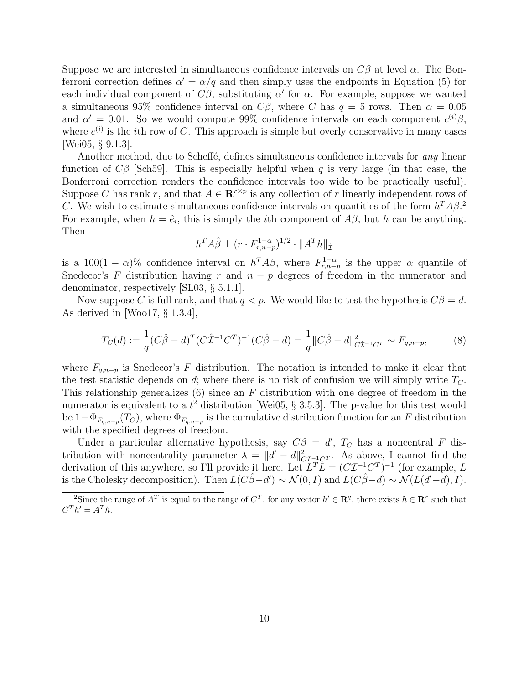Suppose we are interested in simultaneous confidence intervals on  $C\beta$  at level  $\alpha$ . The Bonferroni correction defines  $\alpha' = \alpha/q$  and then simply uses the endpoints in Equation (5) for each individual component of  $C\beta$ , substituting  $\alpha'$  for  $\alpha$ . For example, suppose we wanted a simultaneous 95% confidence interval on  $C\beta$ , where C has  $q = 5$  rows. Then  $\alpha = 0.05$ and  $\alpha' = 0.01$ . So we would compute 99% confidence intervals on each component  $c^{(i)}\beta$ , where  $c^{(i)}$  is the *i*th row of C. This approach is simple but overly conservative in many cases [Wei05, § 9.1.3].

Another method, due to Scheffe, defines simultaneous confidence intervals for *any* linear function of  $C\beta$  [Sch59]. This is especially helpful when q is very large (in that case, the Bonferroni correction renders the confidence intervals too wide to be practically useful). Suppose C has rank r, and that  $A \in \mathbb{R}^{r \times p}$  is any collection of r linearly independent rows of C. We wish to estimate simultaneous confidence intervals on quantities of the form  $h^T A \beta$ . For example, when  $h = \hat{e}_i$ , this is simply the *i*th component of  $A\beta$ , but h can be anything. Then

$$
h^T A \hat{\beta} \pm (r \cdot F_{r,n-p}^{1-\alpha})^{1/2} \cdot ||A^T h||_{\hat{\mathcal{I}}}
$$

is a 100(1 –  $\alpha$ )% confidence interval on  $h^T A \beta$ , where  $F_{r,n-p}^{1-\alpha}$  is the upper  $\alpha$  quantile of Snedecor's F distribution having r and  $n - p$  degrees of freedom in the numerator and denominator, respectively [SL03, § 5.1.1].

Now suppose C is full rank, and that  $q < p$ . We would like to test the hypothesis  $C\beta = d$ . As derived in [Woo17, § 1.3.4],

$$
T_C(d) := \frac{1}{q} (C\hat{\beta} - d)^T (C\hat{\mathcal{I}}^{-1} C^T)^{-1} (C\hat{\beta} - d) = \frac{1}{q} ||C\hat{\beta} - d||^2_{C\hat{\mathcal{I}}^{-1} C^T} \sim F_{q, n-p},
$$
(8)

where  $F_{q,n-p}$  is Snedecor's F distribution. The notation is intended to make it clear that the test statistic depends on d; where there is no risk of confusion we will simply write  $T<sub>C</sub>$ . This relationship generalizes  $(6)$  since an F distribution with one degree of freedom in the numerator is equivalent to a  $t^2$  distribution [Wei05, § 3.5.3]. The p-value for this test would be  $1-\Phi_{F_{q,n-p}}(T_C)$ , where  $\Phi_{F_{q,n-p}}$  is the cumulative distribution function for an F distribution with the specified degrees of freedom.

Under a particular alternative hypothesis, say  $C\beta = d'$ ,  $T_C$  has a noncentral F distribution with noncentrality parameter  $\lambda = ||d' - d||_{C_{\mathcal{I}} \to C_{\mathcal{I}}}^2$ . As above, I cannot find the derivation of this anywhere, so I'll provide it here. Let  $\overline{L}^T L = (C \mathcal{I}^{-1} C^T)^{-1}$  (for example, L is the Cholesky decomposition). Then  $L(C\hat{\beta}-d') \sim \mathcal{N}(0, I)$  and  $L(C\hat{\beta}-d) \sim \mathcal{N}(L(d'-d), I)$ .

<sup>&</sup>lt;sup>2</sup>Since the range of  $A<sup>T</sup>$  is equal to the range of  $C<sup>T</sup>$ , for any vector  $h' \in \mathbb{R}^q$ , there exists  $h \in \mathbb{R}^r$  such that  $C^{T}h' = A^{T}h.$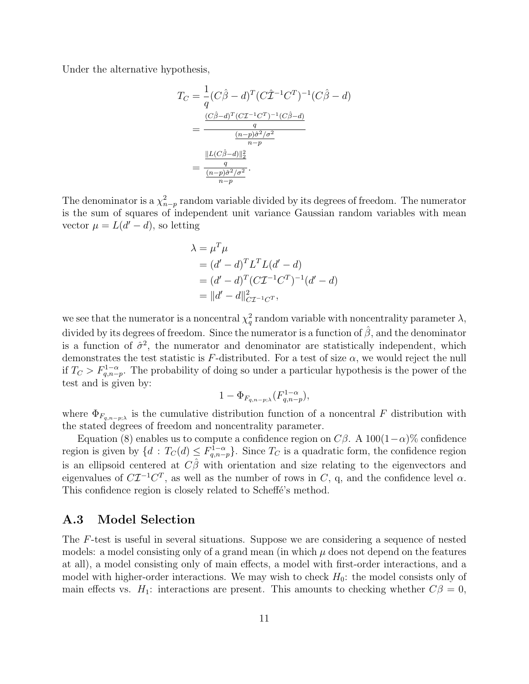Under the alternative hypothesis,

$$
T_C = \frac{1}{q} (C\hat{\beta} - d)^T (C\hat{\mathcal{I}}^{-1}C^T)^{-1} (C\hat{\beta} - d)
$$
  
= 
$$
\frac{(C\hat{\beta} - d)^T (C\mathcal{I}^{-1}C^T)^{-1} (C\hat{\beta} - d)}{(n-p)\hat{\sigma}^2/\sigma^2}
$$
  
= 
$$
\frac{\frac{\|L(C\hat{\beta} - d)\|_2^2}{n}}{(n-p)\hat{\sigma}^2/\sigma^2}
$$
  
= 
$$
\frac{\frac{q}{(n-p)\hat{\sigma}^2/\sigma^2}}{(n-p)^2}
$$

The denominator is a  $\chi^2_{n-p}$  random variable divided by its degrees of freedom. The numerator is the sum of squares of independent unit variance Gaussian random variables with mean vector  $\mu = L(d' - d)$ , so letting

$$
\lambda = \mu^T \mu
$$
  
=  $(d' - d)^T L^T L (d' - d)$   
=  $(d' - d)^T (C \mathcal{I}^{-1} C^T)^{-1} (d' - d)$   
=  $||d' - d||_{C \mathcal{I}^{-1} C^T}^2$ ,

we see that the numerator is a noncentral  $\chi_q^2$  random variable with noncentrality parameter  $\lambda$ , divided by its degrees of freedom. Since the numerator is a function of  $\hat{\beta}$ , and the denominator is a function of  $\hat{\sigma}^2$ , the numerator and denominator are statistically independent, which demonstrates the test statistic is F-distributed. For a test of size  $\alpha$ , we would reject the null if  $T_c > F_{q,n-p}^{1-\alpha}$ . The probability of doing so under a particular hypothesis is the power of the test and is given by:

$$
1 - \Phi_{F_{q,n-p;\lambda}}(F_{q,n-p}^{1-\alpha}),
$$

where  $\Phi_{F_{q,n-p;\lambda}}$  is the cumulative distribution function of a noncentral F distribution with the stated degrees of freedom and noncentrality parameter.

Equation (8) enables us to compute a confidence region on  $C\beta$ . A 100(1- $\alpha$ )% confidence region is given by  $\{d : T_C(d) \leq F_{q,n-p}^{1-\alpha}\}$ . Since  $T_C$  is a quadratic form, the confidence region is an ellipsoid centered at  $C\hat{\beta}$  with orientation and size relating to the eigenvectors and eigenvalues of  $C\mathcal{I}^{-1}C^{T}$ , as well as the number of rows in C, q, and the confidence level  $\alpha$ . This confidence region is closely related to Scheffé's method.

#### A.3 Model Selection

The F-test is useful in several situations. Suppose we are considering a sequence of nested models: a model consisting only of a grand mean (in which  $\mu$  does not depend on the features at all), a model consisting only of main effects, a model with first-order interactions, and a model with higher-order interactions. We may wish to check  $H_0$ : the model consists only of main effects vs.  $H_1$ : interactions are present. This amounts to checking whether  $C\beta = 0$ ,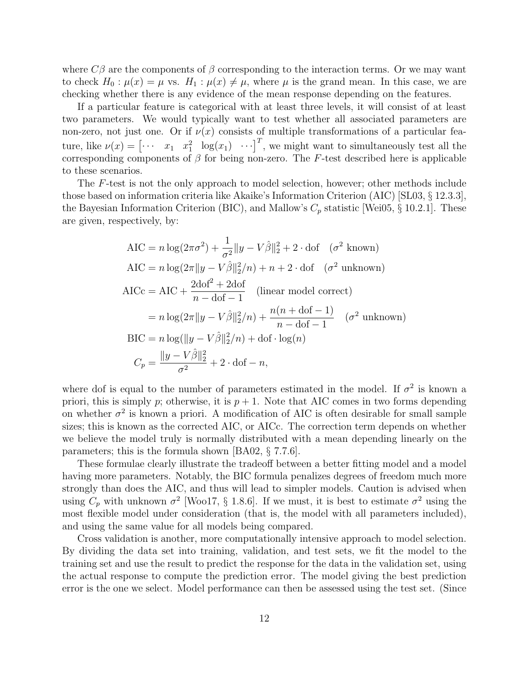where  $C\beta$  are the components of  $\beta$  corresponding to the interaction terms. Or we may want to check  $H_0: \mu(x) = \mu$  vs.  $H_1: \mu(x) \neq \mu$ , where  $\mu$  is the grand mean. In this case, we are checking whether there is any evidence of the mean response depending on the features.

If a particular feature is categorical with at least three levels, it will consist of at least two parameters. We would typically want to test whether all associated parameters are non-zero, not just one. Or if  $\nu(x)$  consists of multiple transformations of a particular feature, like  $\nu(x) = \begin{bmatrix} \cdots & x_1 & x_1^2 & \log(x_1) & \cdots \end{bmatrix}^T$ , we might want to simultaneously test all the corresponding components of  $\beta$  for being non-zero. The F-test described here is applicable to these scenarios.

The F-test is not the only approach to model selection, however; other methods include those based on information criteria like Akaike's Information Criterion (AIC) [SL03, § 12.3.3], the Bayesian Information Criterion (BIC), and Mallow's  $C_p$  statistic [Wei05, § 10.2.1]. These are given, respectively, by:

$$
\text{AIC} = n \log(2\pi\sigma^2) + \frac{1}{\sigma^2} ||y - V\hat{\beta}||_2^2 + 2 \cdot \text{dof} \quad (\sigma^2 \text{ known})
$$
\n
$$
\text{AIC} = n \log(2\pi ||y - V\hat{\beta}||_2^2/n) + n + 2 \cdot \text{dof} \quad (\sigma^2 \text{ unknown})
$$
\n
$$
\text{AICc} = \text{AIC} + \frac{2\text{dof}^2 + 2\text{dof}}{n - \text{dof} - 1} \quad \text{(linear model correct)}
$$
\n
$$
= n \log(2\pi ||y - V\hat{\beta}||_2^2/n) + \frac{n(n + \text{dof} - 1)}{n - \text{dof} - 1} \quad (\sigma^2 \text{ unknown})
$$
\n
$$
\text{BIC} = n \log(||y - V\hat{\beta}||_2^2/n) + \text{dof} \cdot \log(n)
$$
\n
$$
C_p = \frac{||y - V\hat{\beta}||_2^2}{\sigma^2} + 2 \cdot \text{dof} - n,
$$

where dof is equal to the number of parameters estimated in the model. If  $\sigma^2$  is known a priori, this is simply p; otherwise, it is  $p + 1$ . Note that AIC comes in two forms depending on whether  $\sigma^2$  is known a priori. A modification of AIC is often desirable for small sample sizes; this is known as the corrected AIC, or AICc. The correction term depends on whether we believe the model truly is normally distributed with a mean depending linearly on the parameters; this is the formula shown [BA02, § 7.7.6].

These formulae clearly illustrate the tradeoff between a better fitting model and a model having more parameters. Notably, the BIC formula penalizes degrees of freedom much more strongly than does the AIC, and thus will lead to simpler models. Caution is advised when using  $C_p$  with unknown  $\sigma^2$  [Woo17, § 1.8.6]. If we must, it is best to estimate  $\sigma^2$  using the most flexible model under consideration (that is, the model with all parameters included), and using the same value for all models being compared.

Cross validation is another, more computationally intensive approach to model selection. By dividing the data set into training, validation, and test sets, we fit the model to the training set and use the result to predict the response for the data in the validation set, using the actual response to compute the prediction error. The model giving the best prediction error is the one we select. Model performance can then be assessed using the test set. (Since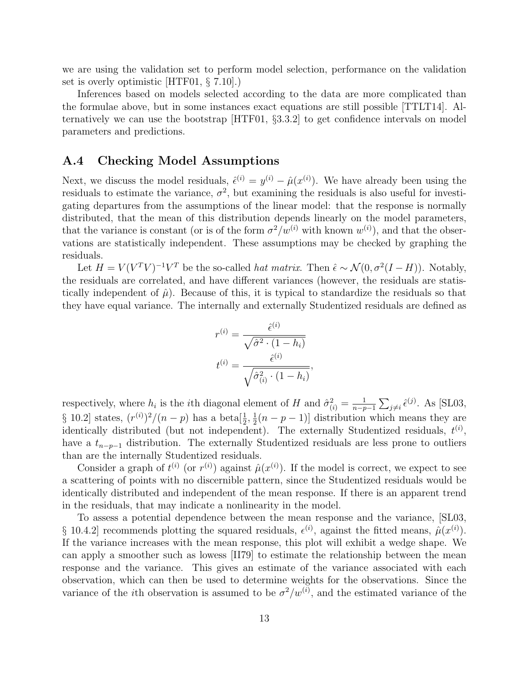we are using the validation set to perform model selection, performance on the validation set is overly optimistic [HTF01, § 7.10].)

Inferences based on models selected according to the data are more complicated than the formulae above, but in some instances exact equations are still possible [TTLT14]. Alternatively we can use the bootstrap [HTF01, §3.3.2] to get confidence intervals on model parameters and predictions.

#### A.4 Checking Model Assumptions

Next, we discuss the model residuals,  $\hat{\epsilon}^{(i)} = y^{(i)} - \hat{\mu}(x^{(i)})$ . We have already been using the residuals to estimate the variance,  $\sigma^2$ , but examining the residuals is also useful for investigating departures from the assumptions of the linear model: that the response is normally distributed, that the mean of this distribution depends linearly on the model parameters, that the variance is constant (or is of the form  $\sigma^2/w^{(i)}$  with known  $w^{(i)}$ ), and that the observations are statistically independent. These assumptions may be checked by graphing the residuals.

Let  $H = V(V^T V)^{-1} V^T$  be the so-called *hat matrix*. Then  $\hat{\epsilon} \sim \mathcal{N}(0, \sigma^2 (I - H))$ . Notably, the residuals are correlated, and have different variances (however, the residuals are statistically independent of  $\hat{\mu}$ ). Because of this, it is typical to standardize the residuals so that they have equal variance. The internally and externally Studentized residuals are defined as

$$
r^{(i)} = \frac{\hat{\epsilon}^{(i)}}{\sqrt{\hat{\sigma}^2 \cdot (1 - h_i)}}
$$

$$
t^{(i)} = \frac{\hat{\epsilon}^{(i)}}{\sqrt{\hat{\sigma}_{(i)}^2 \cdot (1 - h_i)}}
$$

respectively, where  $h_i$  is the *i*<sup>th</sup> diagonal element of H and  $\hat{\sigma}_{(i)}^2 = \frac{1}{n-p}$  $\frac{1}{n-p-1}$   $\sum_{j\neq i}$   $\hat{\epsilon}^{(j)}$ . As [SL03, § 10.2] states,  $(r^{(i)})^2/(n-p)$  has a beta $[\frac{1}{2}, \frac{1}{2}]$  $(\frac{1}{2}(n-p-1))$  distribution which means they are identically distributed (but not independent). The externally Studentized residuals,  $t^{(i)}$ , have a  $t_{n-p-1}$  distribution. The externally Studentized residuals are less prone to outliers than are the internally Studentized residuals.

Consider a graph of  $t^{(i)}$  (or  $r^{(i)}$ ) against  $\hat{\mu}(x^{(i)})$ . If the model is correct, we expect to see a scattering of points with no discernible pattern, since the Studentized residuals would be identically distributed and independent of the mean response. If there is an apparent trend in the residuals, that may indicate a nonlinearity in the model.

To assess a potential dependence between the mean response and the variance, [SL03, § 10.4.2 recommends plotting the squared residuals,  $\epsilon^{(i)}$ , against the fitted means,  $\hat{\mu}(x^{(i)})$ . If the variance increases with the mean response, this plot will exhibit a wedge shape. We can apply a smoother such as lowess [II79] to estimate the relationship between the mean response and the variance. This gives an estimate of the variance associated with each observation, which can then be used to determine weights for the observations. Since the variance of the *i*th observation is assumed to be  $\sigma^2/w^{(i)}$ , and the estimated variance of the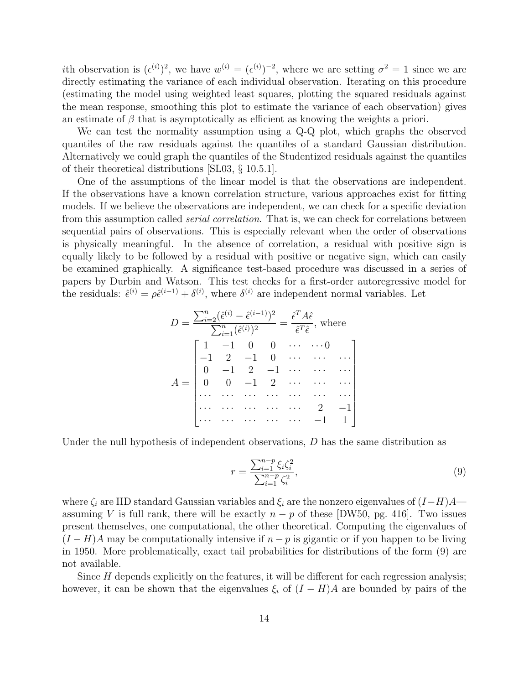ith observation is  $({\epsilon}^{(i)})^2$ , we have  $w^{(i)} = ({\epsilon}^{(i)})^{-2}$ , where we are setting  $\sigma^2 = 1$  since we are directly estimating the variance of each individual observation. Iterating on this procedure (estimating the model using weighted least squares, plotting the squared residuals against the mean response, smoothing this plot to estimate the variance of each observation) gives an estimate of  $\beta$  that is asymptotically as efficient as knowing the weights a priori.

We can test the normality assumption using a Q-Q plot, which graphs the observed quantiles of the raw residuals against the quantiles of a standard Gaussian distribution. Alternatively we could graph the quantiles of the Studentized residuals against the quantiles of their theoretical distributions [SL03, § 10.5.1].

One of the assumptions of the linear model is that the observations are independent. If the observations have a known correlation structure, various approaches exist for fitting models. If we believe the observations are independent, we can check for a specific deviation from this assumption called *serial correlation*. That is, we can check for correlations between sequential pairs of observations. This is especially relevant when the order of observations is physically meaningful. In the absence of correlation, a residual with positive sign is equally likely to be followed by a residual with positive or negative sign, which can easily be examined graphically. A significance test-based procedure was discussed in a series of papers by Durbin and Watson. This test checks for a first-order autoregressive model for the residuals:  $\hat{\epsilon}^{(i)} = \rho \hat{\epsilon}^{(i-1)} + \delta^{(i)}$ , where  $\delta^{(i)}$  are independent normal variables. Let

$$
D = \frac{\sum_{i=2}^{n} (\hat{\epsilon}^{(i)} - \hat{\epsilon}^{(i-1)})^2}{\sum_{i=1}^{n} (\hat{\epsilon}^{(i)})^2} = \frac{\hat{\epsilon}^T A \hat{\epsilon}}{\hat{\epsilon}^T \hat{\epsilon}}, \text{ where}
$$
  

$$
A = \begin{bmatrix} 1 & -1 & 0 & 0 & \cdots & \cdots & 0 \\ -1 & 2 & -1 & 0 & \cdots & \cdots & \cdots \\ 0 & -1 & 2 & -1 & \cdots & \cdots & \cdots \\ 0 & 0 & -1 & 2 & \cdots & \cdots & \cdots \\ \cdots & \cdots & \cdots & \cdots & \cdots & \cdots & \cdots \\ \cdots & \cdots & \cdots & \cdots & \cdots & 2 & -1 \\ \cdots & \cdots & \cdots & \cdots & \cdots & -1 & 1 \end{bmatrix}
$$

Under the null hypothesis of independent observations,  $D$  has the same distribution as

$$
r = \frac{\sum_{i=1}^{n-p} \xi_i \zeta_i^2}{\sum_{i=1}^{n-p} \zeta_i^2},\tag{9}
$$

where  $\zeta_i$  are IID standard Gaussian variables and  $\xi_i$  are the nonzero eigenvalues of  $(I-H)A$  assuming V is full rank, there will be exactly  $n - p$  of these [DW50, pg. 416]. Two issues present themselves, one computational, the other theoretical. Computing the eigenvalues of  $(I - H)A$  may be computationally intensive if  $n - p$  is gigantic or if you happen to be living in 1950. More problematically, exact tail probabilities for distributions of the form (9) are not available.

Since  $H$  depends explicitly on the features, it will be different for each regression analysis; however, it can be shown that the eigenvalues  $\xi_i$  of  $(I - H)A$  are bounded by pairs of the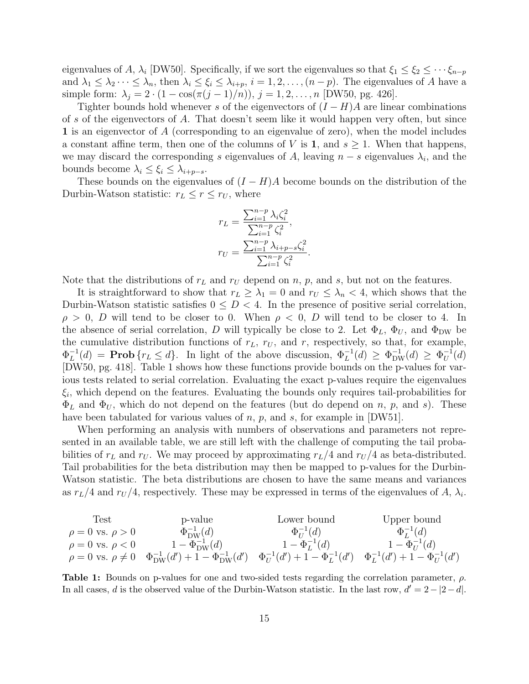eigenvalues of A,  $\lambda_i$  [DW50]. Specifically, if we sort the eigenvalues so that  $\xi_1 \leq \xi_2 \leq \cdots \xi_{n-p}$ and  $\lambda_1 \leq \lambda_2 \cdots \leq \lambda_n$ , then  $\lambda_i \leq \xi_i \leq \lambda_{i+p}$ ,  $i = 1, 2, \ldots, (n-p)$ . The eigenvalues of A have a simple form:  $\lambda_j = 2 \cdot (1 - \cos(\pi(j-1)/n))$ ,  $j = 1, 2, ..., n$  [DW50, pg. 426].

Tighter bounds hold whenever s of the eigenvectors of  $(I - H)A$  are linear combinations of s of the eigenvectors of A. That doesn't seem like it would happen very often, but since 1 is an eigenvector of A (corresponding to an eigenvalue of zero), when the model includes a constant affine term, then one of the columns of V is 1, and  $s \geq 1$ . When that happens, we may discard the corresponding s eigenvalues of A, leaving  $n - s$  eigenvalues  $\lambda_i$ , and the bounds become  $\lambda_i \leq \xi_i \leq \lambda_{i+p-s}$ .

These bounds on the eigenvalues of  $(I - H)A$  become bounds on the distribution of the Durbin-Watson statistic:  $r_L \leq r \leq r_U$ , where

$$
r_L = \frac{\sum_{i=1}^{n-p} \lambda_i \zeta_i^2}{\sum_{i=1}^{n-p} \zeta_i^2},
$$

$$
r_U = \frac{\sum_{i=1}^{n-p} \lambda_{i+p-s} \zeta_i^2}{\sum_{i=1}^{n-p} \zeta_i^2}.
$$

Note that the distributions of  $r<sub>L</sub>$  and  $r<sub>U</sub>$  depend on n, p, and s, but not on the features.

It is straightforward to show that  $r_L \geq \lambda_1 = 0$  and  $r_U \leq \lambda_n < 4$ , which shows that the Durbin-Watson statistic satisfies  $0 \leq D < 4$ . In the presence of positive serial correlation,  $\rho > 0$ , D will tend to be closer to 0. When  $\rho < 0$ , D will tend to be closer to 4. In the absence of serial correlation, D will typically be close to 2. Let  $\Phi_L$ ,  $\Phi_U$ , and  $\Phi_{DW}$  be the cumulative distribution functions of  $r<sub>L</sub>$ ,  $r<sub>U</sub>$ , and r, respectively, so that, for example,  $\Phi_L^{-1}$  $L^{-1}(d) = \textbf{Prob}\{r_L \leq d\}$ . In light of the above discussion,  $\Phi_L^{-1}(d) \geq \Phi_{DW}^{-1}(d) \geq \Phi_U^{-1}$  $U^{-1}(d)$ [DW50, pg. 418]. Table 1 shows how these functions provide bounds on the p-values for various tests related to serial correlation. Evaluating the exact p-values require the eigenvalues  $\xi_i$ , which depend on the features. Evaluating the bounds only requires tail-probabilities for  $\Phi_L$  and  $\Phi_U$ , which do not depend on the features (but do depend on n, p, and s). These have been tabulated for various values of  $n, p$ , and  $s$ , for example in [DW51].

When performing an analysis with numbers of observations and parameters not represented in an available table, we are still left with the challenge of computing the tail probabilities of  $r<sub>L</sub>$  and  $r<sub>U</sub>$ . We may proceed by approximating  $r<sub>L</sub>/4$  and  $r<sub>U</sub>/4$  as beta-distributed. Tail probabilities for the beta distribution may then be mapped to p-values for the Durbin-Watson statistic. The beta distributions are chosen to have the same means and variances as  $r_L/4$  and  $r_U/4$ , respectively. These may be expressed in terms of the eigenvalues of A,  $\lambda_i$ .

Test  
\n
$$
\rho = 0 \text{ vs. } \rho > 0
$$
\n
$$
\rho = 0 \text{ vs. } \rho \neq 0
$$
\n
$$
\rho = 0 \text{ vs. } \rho \neq 0
$$
\n
$$
\Phi_{\text{DW}}^{-1}(d)
$$
\n
$$
\rho = 0 \text{ vs. } \rho \neq 0
$$
\n
$$
\Phi_{\text{DW}}^{-1}(d)
$$
\n
$$
\Phi_{\text{DW}}^{-1}(d)
$$
\n
$$
\Phi_{\text{DW}}^{-1}(d)
$$
\n
$$
\Phi_{\text{DW}}^{-1}(d)
$$
\n
$$
\Phi_{\text{DW}}^{-1}(d')
$$
\n
$$
\Phi_{\text{DW}}^{-1}(d') + 1 - \Phi_{\text{DW}}^{-1}(d')
$$
\n
$$
\Phi_{\text{DW}}^{-1}(d') + 1 - \Phi_{\text{DW}}^{-1}(d')
$$
\n
$$
\Phi_{\text{DW}}^{-1}(d') + 1 - \Phi_{\text{DW}}^{-1}(d')
$$

Table 1: Bounds on p-values for one and two-sided tests regarding the correlation parameter,  $\rho$ . In all cases, d is the observed value of the Durbin-Watson statistic. In the last row,  $d' = 2 - |2 - d|$ .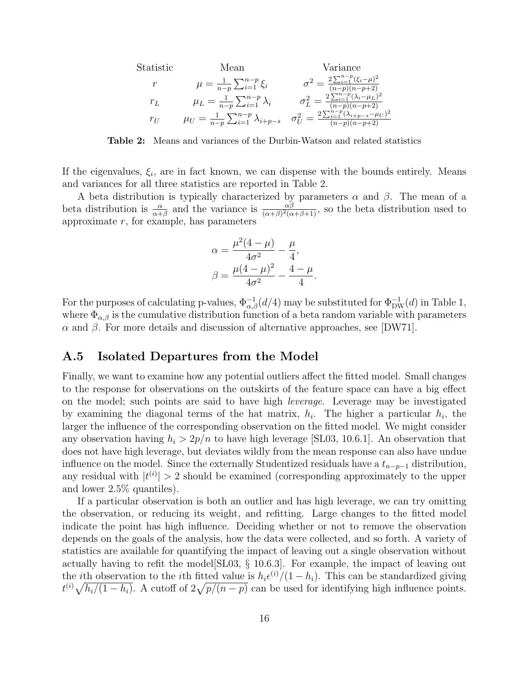Statistic Mean Variance r  $\mu = \frac{1}{n}$  $\frac{1}{n-p} \sum_{i=1}^{n-p} \xi_i$   $\sigma^2 = \frac{2 \sum_{i=1}^{n-p} (\xi_i - \mu)^2}{(n-p)(n-p+2)}$  $(n-p)(n-p+2)$  $r_L$   $\mu_L = \frac{1}{n_-}$  $\frac{1}{n-p} \sum_{i=1}^{n-p} \lambda_i$   $\sigma_L^2 = \frac{2 \sum_{i=1}^{n-p} (\lambda_i - \mu_L)^2}{(n-p)(n-p+2)}$  $(n-p)(n-p+2)$  $r_U$   $\mu_U = \frac{1}{n}$  $\frac{1}{n-p} \sum_{i=1}^{n-p} \lambda_{i+p-s} \quad \sigma_U^2 = \frac{2 \sum_{i=1}^{n-p} (\lambda_{i+p-s} - \mu_U)^2}{(n-p)(n-p+2)}$  $(n-p)(n-p+2)$ 

Table 2: Means and variances of the Durbin-Watson and related statistics

If the eigenvalues,  $\xi_i$ , are in fact known, we can dispense with the bounds entirely. Means and variances for all three statistics are reported in Table 2.

A beta distribution is typically characterized by parameters  $\alpha$  and  $\beta$ . The mean of a beta distribution is  $\frac{\alpha}{\alpha+\beta}$  and the variance is  $\frac{\alpha\beta}{(\alpha+\beta)^2(\alpha+\beta+1)}$ , so the beta distribution used to approximate  $r$ , for example, has parameters

$$
\alpha = \frac{\mu^2 (4 - \mu)}{4\sigma^2} - \frac{\mu}{4},
$$

$$
\beta = \frac{\mu (4 - \mu)^2}{4\sigma^2} - \frac{4 - \mu}{4}.
$$

For the purposes of calculating p-values,  $\Phi_{\alpha,\beta}^{-1}(d/4)$  may be substituted for  $\Phi_{\rm DW}^{-1}(d)$  in Table 1, where  $\Phi_{\alpha,\beta}$  is the cumulative distribution function of a beta random variable with parameters  $\alpha$  and  $\beta$ . For more details and discussion of alternative approaches, see [DW71].

#### A.5 Isolated Departures from the Model

Finally, we want to examine how any potential outliers affect the fitted model. Small changes to the response for observations on the outskirts of the feature space can have a big effect on the model; such points are said to have high leverage. Leverage may be investigated by examining the diagonal terms of the hat matrix,  $h_i$ . The higher a particular  $h_i$ , the larger the influence of the corresponding observation on the fitted model. We might consider any observation having  $h_i > 2p/n$  to have high leverage [SL03, 10.6.1]. An observation that does not have high leverage, but deviates wildly from the mean response can also have undue influence on the model. Since the externally Studentized residuals have a  $t_{n-p-1}$  distribution, any residual with  $|t^{(i)}| > 2$  should be examined (corresponding approximately to the upper and lower 2.5% quantiles).

If a particular observation is both an outlier and has high leverage, we can try omitting the observation, or reducing its weight, and refitting. Large changes to the fitted model indicate the point has high influence. Deciding whether or not to remove the observation depends on the goals of the analysis, how the data were collected, and so forth. A variety of statistics are available for quantifying the impact of leaving out a single observation without actually having to refit the model[SL03, § 10.6.3]. For example, the impact of leaving out the *i*th observation to the *i*th fitted value is  $h_i \epsilon^{(i)} / (1 - h_i)$ . This can be standardized giving  $t^{(i)}\sqrt{h_i/(1-h_i)}$ . A cutoff of  $2\sqrt{p/(n-p)}$  can be used for identifying high influence points.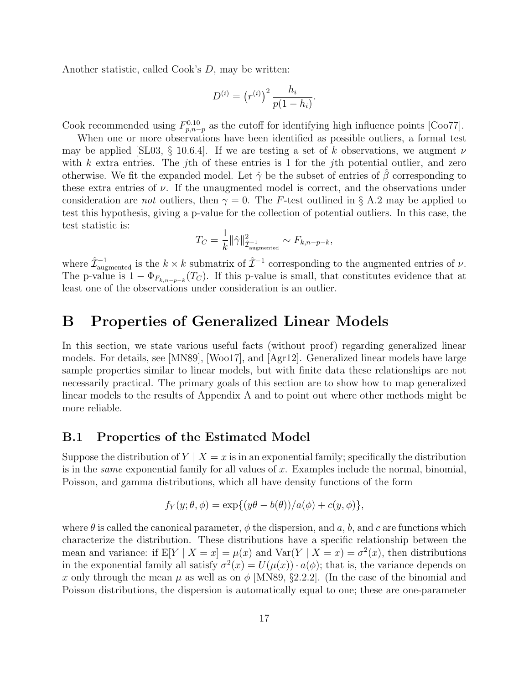Another statistic, called Cook's D, may be written:

$$
D^{(i)} = (r^{(i)})^2 \frac{h_i}{p(1-h_i)}.
$$

Cook recommended using  $F_{p,n-p}^{0.10}$  as the cutoff for identifying high influence points [Coo77].

When one or more observations have been identified as possible outliers, a formal test may be applied [SL03, § 10.6.4]. If we are testing a set of k observations, we augment  $\nu$ with  $k$  extra entries. The j<sup>th</sup> of these entries is 1 for the j<sup>th</sup> potential outlier, and zero otherwise. We fit the expanded model. Let  $\hat{\gamma}$  be the subset of entries of  $\hat{\beta}$  corresponding to these extra entries of  $\nu$ . If the unaugmented model is correct, and the observations under consideration are not outliers, then  $\gamma = 0$ . The F-test outlined in § A.2 may be applied to test this hypothesis, giving a p-value for the collection of potential outliers. In this case, the test statistic is:

$$
T_C = \frac{1}{k} \|\hat{\gamma}\|_{\hat{\mathcal{I}}_{\text{augmented}}^{-1}}^2 \sim F_{k,n-p-k},
$$

where  $\hat{\mathcal{I}}^{-1}_{\text{augmented}}$  is the  $k \times k$  submatrix of  $\hat{\mathcal{I}}^{-1}$  corresponding to the augmented entries of  $\nu$ . The p-value is  $1 - \Phi_{F_{k,n-p-k}}(T_C)$ . If this p-value is small, that constitutes evidence that at least one of the observations under consideration is an outlier.

### B Properties of Generalized Linear Models

In this section, we state various useful facts (without proof) regarding generalized linear models. For details, see [MN89], [Woo17], and [Agr12]. Generalized linear models have large sample properties similar to linear models, but with finite data these relationships are not necessarily practical. The primary goals of this section are to show how to map generalized linear models to the results of Appendix A and to point out where other methods might be more reliable.

#### B.1 Properties of the Estimated Model

Suppose the distribution of  $Y \mid X = x$  is in an exponential family; specifically the distribution is in the *same* exponential family for all values of  $x$ . Examples include the normal, binomial, Poisson, and gamma distributions, which all have density functions of the form

$$
f_Y(y; \theta, \phi) = \exp\{(y\theta - b(\theta))/a(\phi) + c(y, \phi)\},\
$$

where  $\theta$  is called the canonical parameter,  $\phi$  the dispersion, and a, b, and c are functions which characterize the distribution. These distributions have a specific relationship between the mean and variance: if  $E[Y \mid X = x] = \mu(x)$  and  $Var(Y \mid X = x) = \sigma^2(x)$ , then distributions in the exponential family all satisfy  $\sigma^2(x) = U(\mu(x)) \cdot a(\phi)$ ; that is, the variance depends on x only through the mean  $\mu$  as well as on  $\phi$  [MN89, §2.2.2]. (In the case of the binomial and Poisson distributions, the dispersion is automatically equal to one; these are one-parameter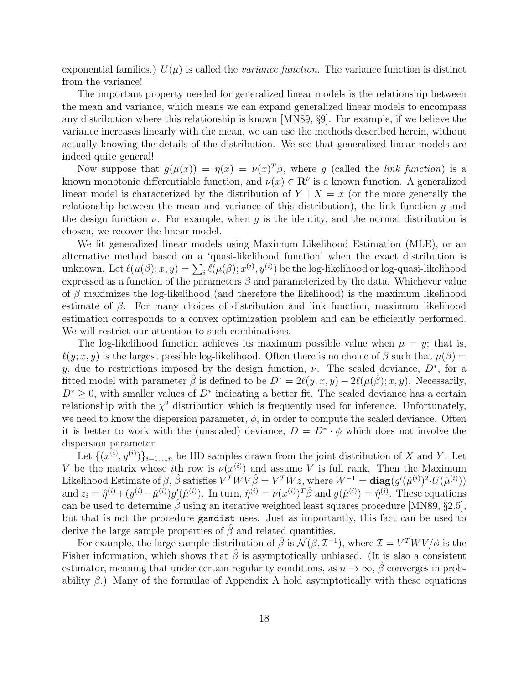exponential families.)  $U(\mu)$  is called the *variance function*. The variance function is distinct from the variance!

The important property needed for generalized linear models is the relationship between the mean and variance, which means we can expand generalized linear models to encompass any distribution where this relationship is known [MN89, §9]. For example, if we believe the variance increases linearly with the mean, we can use the methods described herein, without actually knowing the details of the distribution. We see that generalized linear models are indeed quite general!

Now suppose that  $g(\mu(x)) = \eta(x) = \nu(x)^T \beta$ , where g (called the *link function*) is a known monotonic differentiable function, and  $\nu(x) \in \mathbb{R}^p$  is a known function. A generalized linear model is characterized by the distribution of  $Y \mid X = x$  (or the more generally the relationship between the mean and variance of this distribution), the link function  $g$  and the design function  $\nu$ . For example, when g is the identity, and the normal distribution is chosen, we recover the linear model.

We fit generalized linear models using Maximum Likelihood Estimation (MLE), or an alternative method based on a 'quasi-likelihood function' when the exact distribution is unknown. Let  $\ell(\mu(\beta); x, y) = \sum_i \ell(\mu(\beta); x^{(i)}, y^{(i)})$  be the log-likelihood or log-quasi-likelihood expressed as a function of the parameters  $\beta$  and parameterized by the data. Whichever value of  $\beta$  maximizes the log-likelihood (and therefore the likelihood) is the maximum likelihood estimate of  $\beta$ . For many choices of distribution and link function, maximum likelihood estimation corresponds to a convex optimization problem and can be efficiently performed. We will restrict our attention to such combinations.

The log-likelihood function achieves its maximum possible value when  $\mu = y$ ; that is,  $\ell(y; x, y)$  is the largest possible log-likelihood. Often there is no choice of  $\beta$  such that  $\mu(\beta)$  = y, due to restrictions imposed by the design function,  $\nu$ . The scaled deviance,  $D^*$ , for a fitted model with parameter  $\hat{\beta}$  is defined to be  $D^* = 2\ell(y; x, y) - 2\ell(\mu(\hat{\beta}); x, y)$ . Necessarily,  $D^* \geq 0$ , with smaller values of  $D^*$  indicating a better fit. The scaled deviance has a certain relationship with the  $\chi^2$  distribution which is frequently used for inference. Unfortunately, we need to know the dispersion parameter,  $\phi$ , in order to compute the scaled deviance. Often it is better to work with the (unscaled) deviance,  $D = D^* \cdot \phi$  which does not involve the dispersion parameter.

Let  $\{(x^{(i)}, y^{(i)})\}_{i=1,\dots,n}$  be IID samples drawn from the joint distribution of X and Y. Let V be the matrix whose *i*th row is  $\nu(x^{(i)})$  and assume V is full rank. Then the Maximum Likelihood Estimate of  $\beta$ ,  $\hat{\beta}$  satisfies  $V^TWV\hat{\beta} = V^TWz$ , where  $W^{-1} = \mathbf{diag}(g'(\hat{\mu}^{(i)})^2 \cdot U(\hat{\mu}^{(i)}))$ and  $z_i = \hat{\eta}^{(i)} + (y^{(i)} - \hat{\mu}^{(i)})g'(\hat{\mu}^{(i)})$ . In turn,  $\hat{\eta}^{(i)} = \nu(x^{(i)})^T \hat{\beta}$  and  $g(\hat{\mu}^{(i)}) = \hat{\eta}^{(i)}$ . These equations can be used to determine  $\beta$  using an iterative weighted least squares procedure [MN89, §2.5], but that is not the procedure gamdist uses. Just as importantly, this fact can be used to derive the large sample properties of  $\beta$  and related quantities.

For example, the large sample distribution of  $\hat{\beta}$  is  $\mathcal{N}(\beta, \mathcal{I}^{-1})$ , where  $\mathcal{I} = V^T W V / \phi$  is the Fisher information, which shows that  $\hat{\beta}$  is asymptotically unbiased. (It is also a consistent estimator, meaning that under certain regularity conditions, as  $n \to \infty$ ,  $\hat{\beta}$  converges in probability  $\beta$ .) Many of the formulae of Appendix A hold asymptotically with these equations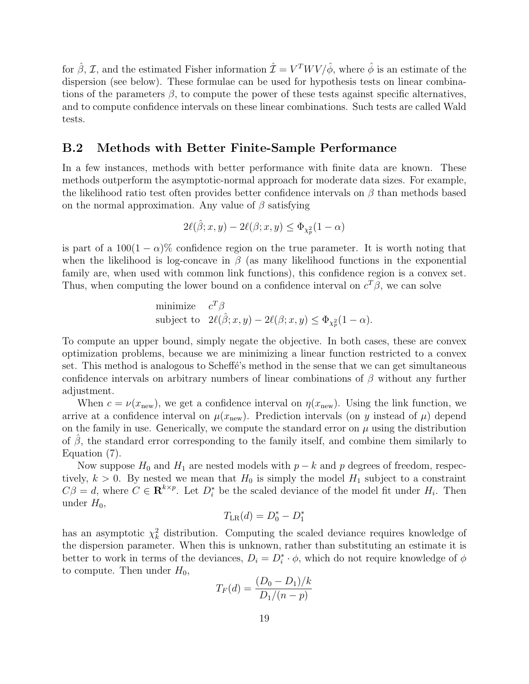for  $\hat{\beta}$ ,  $\mathcal{I}$ , and the estimated Fisher information  $\hat{\mathcal{I}} = V^T W V / \hat{\phi}$ , where  $\hat{\phi}$  is an estimate of the dispersion (see below). These formulae can be used for hypothesis tests on linear combinations of the parameters  $\beta$ , to compute the power of these tests against specific alternatives, and to compute confidence intervals on these linear combinations. Such tests are called Wald tests.

#### B.2 Methods with Better Finite-Sample Performance

In a few instances, methods with better performance with finite data are known. These methods outperform the asymptotic-normal approach for moderate data sizes. For example, the likelihood ratio test often provides better confidence intervals on  $\beta$  than methods based on the normal approximation. Any value of  $\beta$  satisfying

$$
2\ell(\hat{\beta}; x, y) - 2\ell(\beta; x, y) \le \Phi_{\chi^2_p}(1 - \alpha)
$$

is part of a  $100(1 - \alpha)$ % confidence region on the true parameter. It is worth noting that when the likelihood is log-concave in  $\beta$  (as many likelihood functions in the exponential family are, when used with common link functions), this confidence region is a convex set. Thus, when computing the lower bound on a confidence interval on  $c^T\beta$ , we can solve

minimize 
$$
c^T \beta
$$
  
subject to  $2\ell(\hat{\beta}; x, y) - 2\ell(\beta; x, y) \leq \Phi_{\chi_p^2}(1 - \alpha)$ .

To compute an upper bound, simply negate the objective. In both cases, these are convex optimization problems, because we are minimizing a linear function restricted to a convex set. This method is analogous to Scheffe's method in the sense that we can get simultaneous confidence intervals on arbitrary numbers of linear combinations of  $\beta$  without any further adjustment.

When  $c = \nu(x_{\text{new}})$ , we get a confidence interval on  $\eta(x_{\text{new}})$ . Using the link function, we arrive at a confidence interval on  $\mu(x_{\text{new}})$ . Prediction intervals (on y instead of  $\mu$ ) depend on the family in use. Generically, we compute the standard error on  $\mu$  using the distribution of  $\beta$ , the standard error corresponding to the family itself, and combine them similarly to Equation (7).

Now suppose  $H_0$  and  $H_1$  are nested models with  $p - k$  and p degrees of freedom, respectively,  $k > 0$ . By nested we mean that  $H_0$  is simply the model  $H_1$  subject to a constraint  $C\beta = d$ , where  $C \in \mathbf{R}^{k \times p}$ . Let  $D_i^*$  be the scaled deviance of the model fit under  $H_i$ . Then under  $H_0$ ,

$$
T_{\text{LR}}(d) = D_0^* - D_1^*
$$

has an asymptotic  $\chi^2_k$  distribution. Computing the scaled deviance requires knowledge of the dispersion parameter. When this is unknown, rather than substituting an estimate it is better to work in terms of the deviances,  $D_i = D_i^* \cdot \phi$ , which do not require knowledge of  $\phi$ to compute. Then under  $H_0$ ,

$$
T_F(d) = \frac{(D_0 - D_1)/k}{D_1/(n-p)}
$$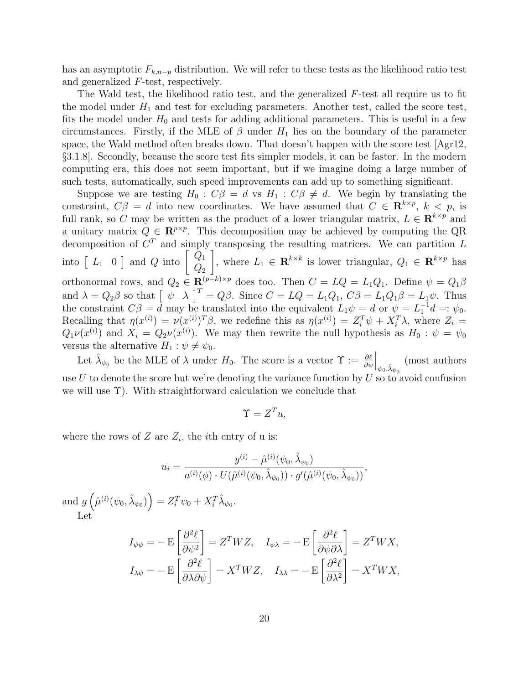has an asymptotic  $F_{k,n-p}$  distribution. We will refer to these tests as the likelihood ratio test and generalized F-test, respectively.

The Wald test, the likelihood ratio test, and the generalized  $F$ -test all require us to fit the model under  $H_1$  and test for excluding parameters. Another test, called the score test, fits the model under  $H_0$  and tests for adding additional parameters. This is useful in a few circumstances. Firstly, if the MLE of  $\beta$  under  $H_1$  lies on the boundary of the parameter space, the Wald method often breaks down. That doesn't happen with the score test [Agr12, §3.1.8]. Secondly, because the score test fits simpler models, it can be faster. In the modern computing era, this does not seem important, but if we imagine doing a large number of such tests, automatically, such speed improvements can add up to something significant.

Suppose we are testing  $H_0$ :  $C\beta = d$  vs  $H_1$ :  $C\beta \neq d$ . We begin by translating the constraint,  $C\beta = d$  into new coordinates. We have assumed that  $C \in \mathbb{R}^{k \times p}$ ,  $k < p$ , is full rank, so C may be written as the product of a lower triangular matrix,  $L \in \mathbb{R}^{k \times p}$  and a unitary matrix  $Q \in \mathbb{R}^{p \times p}$ . This decomposition may be achieved by computing the QR decomposition of  $C^{T}$  and simply transposing the resulting matrices. We can partition L into  $\begin{bmatrix} L_1 & 0 \end{bmatrix}$  and  $Q$  into  $\begin{bmatrix} Q_1 \\ Q_2 \end{bmatrix}$  $\overline{Q_2}$ 1 , where  $L_1 \in \mathbf{R}^{k \times k}$  is lower triangular,  $Q_1 \in \mathbf{R}^{k \times p}$  has orthonormal rows, and  $Q_2 \in \mathbf{R}^{(p-k)\times p}$  does too. Then  $C = LQ = L_1Q_1$ . Define  $\psi = Q_1\beta$ and  $\lambda = Q_2 \beta$  so that  $\begin{bmatrix} \psi & \lambda \end{bmatrix}^T = Q \beta$ . Since  $C = LQ = L_1 Q_1$ ,  $C \beta = L_1 Q_1 \beta = L_1 \psi$ . Thus the constraint  $C\beta = d$  may be translated into the equivalent  $L_1\psi = d$  or  $\psi = L_1^{-1}d = \psi_0$ . Recalling that  $\eta(x^{(i)}) = \nu(x^{(i)})^T \beta$ , we redefine this as  $\eta(x^{(i)}) = Z_i^T \psi + X_i^T \lambda$ , where  $Z_i =$  $Q_1\nu(x^{(i)})$  and  $X_i = Q_2\nu(x^{(i)})$ . We may then rewrite the null hypothesis as  $H_0: \psi = \psi_0$ versus the alternative  $H_1 : \psi \neq \psi_0$ .

Let  $\hat{\lambda}_{\psi_0}$  be the MLE of  $\lambda$  under  $H_0$ . The score is a vector  $\Upsilon := \frac{\partial \ell}{\partial \psi}$  $\big|_{\psi_0,\hat{\lambda}_{\psi_0}}$ (most authors use  $U$  to denote the score but we're denoting the variance function by  $U$  so to avoid confusion we will use Υ). With straightforward calculation we conclude that

$$
\Upsilon = Z^T u,
$$

where the rows of  $Z$  are  $Z_i$ , the *i*th entry of u is:

$$
u_i = \frac{y^{(i)} - \hat{\mu}^{(i)}(\psi_0, \hat{\lambda}_{\psi_0})}{a^{(i)}(\phi) \cdot U(\hat{\mu}^{(i)}(\psi_0, \hat{\lambda}_{\psi_0})) \cdot g'(\hat{\mu}^{(i)}(\psi_0, \hat{\lambda}_{\psi_0}))},
$$

and  $g\left(\hat{\mu}^{(i)}(\psi_0, \hat{\lambda}_{\psi_0})\right) = Z_i^T \psi_0 + X_i^T \hat{\lambda}_{\psi_0}$ . Let

$$
I_{\psi\psi} = -E\left[\frac{\partial^2 \ell}{\partial \psi^2}\right] = Z^T W Z, \quad I_{\psi\lambda} = -E\left[\frac{\partial^2 \ell}{\partial \psi \partial \lambda}\right] = Z^T W X,
$$

$$
I_{\lambda\psi} = -E\left[\frac{\partial^2 \ell}{\partial \lambda \partial \psi}\right] = X^T W Z, \quad I_{\lambda\lambda} = -E\left[\frac{\partial^2 \ell}{\partial \lambda^2}\right] = X^T W X,
$$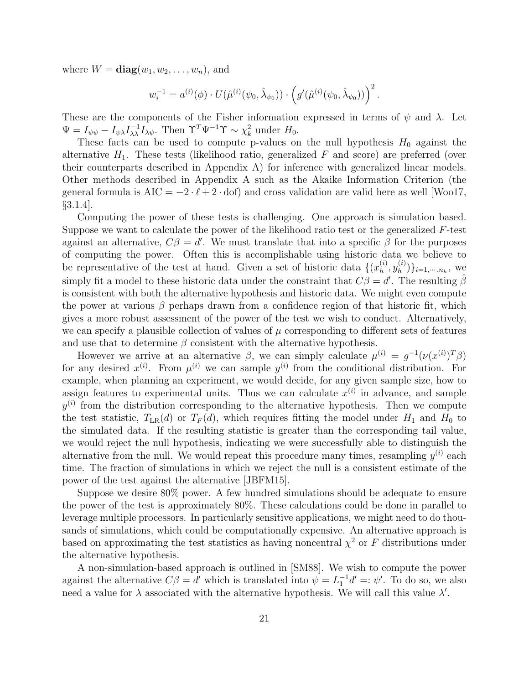where  $W = diag(w_1, w_2, \ldots, w_n)$ , and

$$
w_i^{-1} = a^{(i)}(\phi) \cdot U(\hat{\mu}^{(i)}(\psi_0, \hat{\lambda}_{\psi_0})) \cdot \left( g'(\hat{\mu}^{(i)}(\psi_0, \hat{\lambda}_{\psi_0})) \right)^2.
$$

These are the components of the Fisher information expressed in terms of  $\psi$  and  $\lambda$ . Let  $\Psi = I_{\psi\psi} - I_{\psi\lambda} I_{\lambda\lambda}^{-1} I_{\lambda\psi}$ . Then  $\Upsilon^T \Psi^{-1} \Upsilon \sim \chi_k^2$  under  $H_0$ .

These facts can be used to compute p-values on the null hypothesis  $H_0$  against the alternative  $H_1$ . These tests (likelihood ratio, generalized F and score) are preferred (over their counterparts described in Appendix A) for inference with generalized linear models. Other methods described in Appendix A such as the Akaike Information Criterion (the general formula is  $AIC = -2 \cdot \ell + 2 \cdot \text{dof}$  and cross validation are valid here as well [Woo17, §3.1.4].

Computing the power of these tests is challenging. One approach is simulation based. Suppose we want to calculate the power of the likelihood ratio test or the generalized F-test against an alternative,  $C\beta = d'$ . We must translate that into a specific  $\beta$  for the purposes of computing the power. Often this is accomplishable using historic data we believe to be representative of the test at hand. Given a set of historic data  $\{(x_h^{(i)}\)}$  $_{h}^{\left( i\right) },y_{h}^{\left( i\right) }$  $\{h^{(i)}\}\}_{i=1,\cdots,n_h}$ , we simply fit a model to these historic data under the constraint that  $C\beta = d'$ . The resulting  $\hat{\beta}$ is consistent with both the alternative hypothesis and historic data. We might even compute the power at various  $\beta$  perhaps drawn from a confidence region of that historic fit, which gives a more robust assessment of the power of the test we wish to conduct. Alternatively, we can specify a plausible collection of values of  $\mu$  corresponding to different sets of features and use that to determine  $\beta$  consistent with the alternative hypothesis.

However we arrive at an alternative  $\beta$ , we can simply calculate  $\mu^{(i)} = g^{-1}(\nu(x^{(i)})^T\beta)$ for any desired  $x^{(i)}$ . From  $\mu^{(i)}$  we can sample  $y^{(i)}$  from the conditional distribution. For example, when planning an experiment, we would decide, for any given sample size, how to assign features to experimental units. Thus we can calculate  $x^{(i)}$  in advance, and sample  $y^{(i)}$  from the distribution corresponding to the alternative hypothesis. Then we compute the test statistic,  $T_{LR}(d)$  or  $T_F(d)$ , which requires fitting the model under  $H_1$  and  $H_0$  to the simulated data. If the resulting statistic is greater than the corresponding tail value, we would reject the null hypothesis, indicating we were successfully able to distinguish the alternative from the null. We would repeat this procedure many times, resampling  $y^{(i)}$  each time. The fraction of simulations in which we reject the null is a consistent estimate of the power of the test against the alternative [JBFM15].

Suppose we desire 80% power. A few hundred simulations should be adequate to ensure the power of the test is approximately 80%. These calculations could be done in parallel to leverage multiple processors. In particularly sensitive applications, we might need to do thousands of simulations, which could be computationally expensive. An alternative approach is based on approximating the test statistics as having noncentral  $\chi^2$  or F distributions under the alternative hypothesis.

A non-simulation-based approach is outlined in [SM88]. We wish to compute the power against the alternative  $C\beta = d'$  which is translated into  $\psi = L_1^{-1}d' =: \psi'$ . To do so, we also need a value for  $\lambda$  associated with the alternative hypothesis. We will call this value  $\lambda'$ .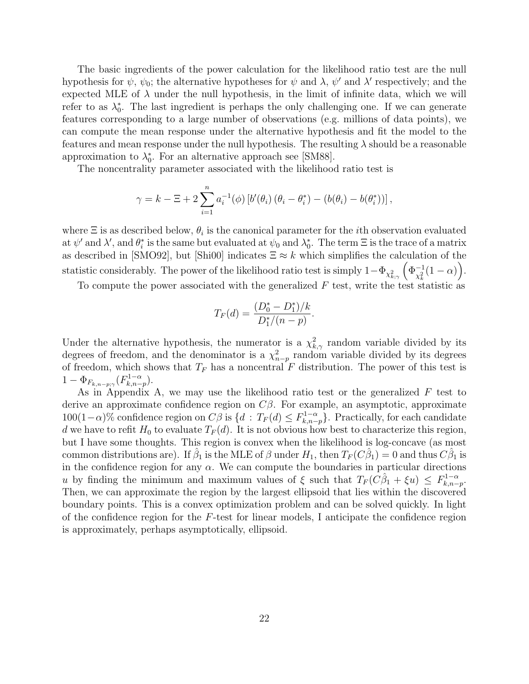The basic ingredients of the power calculation for the likelihood ratio test are the null hypothesis for  $\psi$ ,  $\psi_0$ ; the alternative hypotheses for  $\psi$  and  $\lambda$ ,  $\psi'$  and  $\lambda'$  respectively; and the expected MLE of  $\lambda$  under the null hypothesis, in the limit of infinite data, which we will refer to as  $\lambda_0^*$ . The last ingredient is perhaps the only challenging one. If we can generate features corresponding to a large number of observations (e.g. millions of data points), we can compute the mean response under the alternative hypothesis and fit the model to the features and mean response under the null hypothesis. The resulting  $\lambda$  should be a reasonable approximation to  $\lambda_0^*$ . For an alternative approach see [SM88].

The noncentrality parameter associated with the likelihood ratio test is

$$
\gamma = k - \Xi + 2 \sum_{i=1}^{n} a_i^{-1}(\phi) [b'(\theta_i) (\theta_i - \theta_i^*) - (b(\theta_i) - b(\theta_i^*))],
$$

where  $\Xi$  is as described below,  $\theta_i$  is the canonical parameter for the *i*th observation evaluated at  $\psi'$  and  $\lambda'$ , and  $\theta_i^*$  is the same but evaluated at  $\psi_0$  and  $\lambda_0^*$ . The term  $\Xi$  is the trace of a matrix as described in [SMO92], but [Shi00] indicates  $\Xi \approx k$  which simplifies the calculation of the statistic considerably. The power of the likelihood ratio test is simply  $1-\Phi_{\chi^2_{k;\gamma}}$  $\left(\Phi_{\gamma^2}^{-1}\right)$  $\frac{-1}{\chi_k^2}(1-\alpha)\bigg).$ 

To compute the power associated with the generalized  $F$  test, write the test statistic as

$$
T_F(d) = \frac{(D_0^* - D_1^*)/k}{D_1^*/(n-p)}.
$$

Under the alternative hypothesis, the numerator is a  $\chi^2_{k,\gamma}$  random variable divided by its degrees of freedom, and the denominator is a  $\chi^2_{n-p}$  random variable divided by its degrees of freedom, which shows that  $T_F$  has a noncentral F distribution. The power of this test is  $1 - \Phi_{F_{k,n-p;\gamma}}(F_{k,n-p}^{1-\alpha})$  $\binom{n}{k,n-p}$ .

As in Appendix A, we may use the likelihood ratio test or the generalized  $F$  test to derive an approximate confidence region on  $C\beta$ . For example, an asymptotic, approximate  $100(1-\alpha)\%$  confidence region on  $C\beta$  is  $\{d: T_F(d) \leq F_{k,n-1}^{1-\alpha}$  $\{k,n-p\}$ . Practically, for each candidate d we have to refit  $H_0$  to evaluate  $T_F(d)$ . It is not obvious how best to characterize this region, but I have some thoughts. This region is convex when the likelihood is log-concave (as most common distributions are). If  $\hat{\beta}_1$  is the MLE of  $\beta$  under  $H_1$ , then  $T_F(C\hat{\beta}_1)=0$  and thus  $C\hat{\beta}_1$  is in the confidence region for any  $\alpha$ . We can compute the boundaries in particular directions u by finding the minimum and maximum values of  $\xi$  such that  $T_F(\tilde{C}\hat{\beta}_1 + \xi u) \leq F_{k,n-1}^{1-\alpha}$  $k, n-p$ . Then, we can approximate the region by the largest ellipsoid that lies within the discovered boundary points. This is a convex optimization problem and can be solved quickly. In light of the confidence region for the  $F$ -test for linear models, I anticipate the confidence region is approximately, perhaps asymptotically, ellipsoid.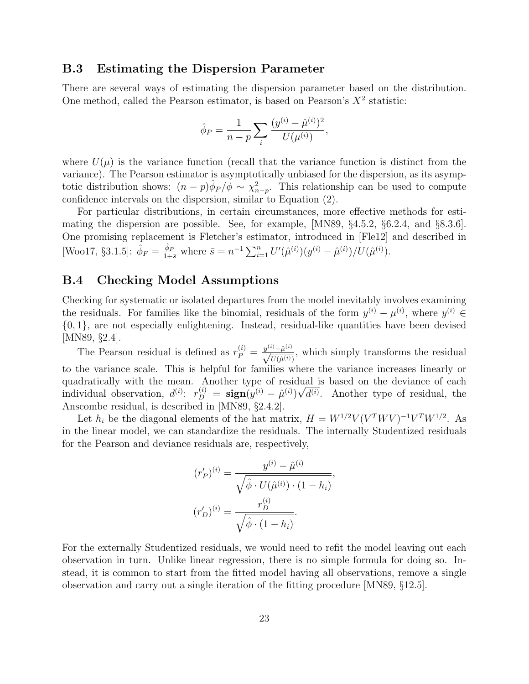#### B.3 Estimating the Dispersion Parameter

There are several ways of estimating the dispersion parameter based on the distribution. One method, called the Pearson estimator, is based on Pearson's  $X^2$  statistic:

$$
\hat{\phi}_P = \frac{1}{n-p} \sum_i \frac{(y^{(i)} - \hat{\mu}^{(i)})^2}{U(\mu^{(i)})},
$$

where  $U(\mu)$  is the variance function (recall that the variance function is distinct from the variance). The Pearson estimator is asymptotically unbiased for the dispersion, as its asymptotic distribution shows:  $(n-p)\hat{\phi}_P/\phi \sim \chi^2_{n-p}$ . This relationship can be used to compute confidence intervals on the dispersion, similar to Equation (2).

For particular distributions, in certain circumstances, more effective methods for estimating the dispersion are possible. See, for example, [MN89, §4.5.2, §6.2.4, and §8.3.6]. One promising replacement is Fletcher's estimator, introduced in [Fle12] and described in [Woo17, §3.1.5]:  $\hat{\phi}_F = \frac{\hat{\phi}_P}{1+\bar{s}}$  where  $\bar{s} = n^{-1} \sum_{i=1}^n U'(\hat{\mu}^{(i)})(y^{(i)} - \hat{\mu}^{(i)})/U(\hat{\mu}^{(i)})$ .

#### B.4 Checking Model Assumptions

Checking for systematic or isolated departures from the model inevitably involves examining the residuals. For families like the binomial, residuals of the form  $y^{(i)} - \mu^{(i)}$ , where  $y^{(i)} \in$ {0, 1}, are not especially enlightening. Instead, residual-like quantities have been devised [MN89, §2.4].

The Pearson residual is defined as  $r_P^{(i)} = \frac{y^{(i)} - \hat{\mu}^{(i)}}{\sqrt{U(\hat{\mu}^{(i)})}}$ , which simply transforms the residual to the variance scale. This is helpful for families where the variance increases linearly or quadratically with the mean. Another type of residual is based on the deviance of each individual observation,  $d^{(i)}$ :  $r_D^{(i)} = \text{sign}(y^{(i)} - \hat{\mu}^{(i)}) \sqrt{d^{(i)}}$ . Another type of residual, the Anscombe residual, is described in [MN89, §2.4.2].

Let  $h_i$  be the diagonal elements of the hat matrix,  $H = W^{1/2}V(V^TWV)^{-1}V^TW^{1/2}$ . As in the linear model, we can standardize the residuals. The internally Studentized residuals for the Pearson and deviance residuals are, respectively,

$$
(r'_P)^{(i)} = \frac{y^{(i)} - \hat{\mu}^{(i)}}{\sqrt{\hat{\phi} \cdot U(\hat{\mu}^{(i)}) \cdot (1 - h_i)}},
$$

$$
(r'_D)^{(i)} = \frac{r_D^{(i)}}{\sqrt{\hat{\phi} \cdot (1 - h_i)}}.
$$

For the externally Studentized residuals, we would need to refit the model leaving out each observation in turn. Unlike linear regression, there is no simple formula for doing so. Instead, it is common to start from the fitted model having all observations, remove a single observation and carry out a single iteration of the fitting procedure [MN89, §12.5].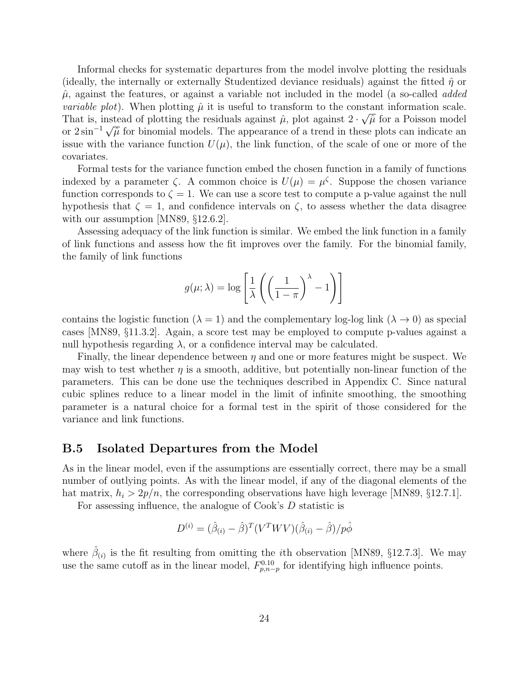Informal checks for systematic departures from the model involve plotting the residuals (ideally, the internally or externally Studentized deviance residuals) against the fitted  $\hat{\eta}$  or  $\hat{\mu}$ , against the features, or against a variable not included in the model (a so-called *added variable plot*). When plotting  $\hat{\mu}$  it is useful to transform to the constant information scale. That is, instead of plotting the residuals against  $\hat{\mu}$ , plot against  $2 \cdot \sqrt{\hat{\mu}}$  for a Poisson model That is, instead of plotting the residuals against  $\mu$ , plot against  $2 \cdot \sqrt{\mu}$  for a roisson model<br>or  $2 \sin^{-1} \sqrt{\hat{\mu}}$  for binomial models. The appearance of a trend in these plots can indicate an issue with the variance function  $U(\mu)$ , the link function, of the scale of one or more of the covariates.

Formal tests for the variance function embed the chosen function in a family of functions indexed by a parameter  $\zeta$ . A common choice is  $U(\mu) = \mu^{\zeta}$ . Suppose the chosen variance function corresponds to  $\zeta = 1$ . We can use a score test to compute a p-value against the null hypothesis that  $\zeta = 1$ , and confidence intervals on  $\zeta$ , to assess whether the data disagree with our assumption [MN89, §12.6.2].

Assessing adequacy of the link function is similar. We embed the link function in a family of link functions and assess how the fit improves over the family. For the binomial family, the family of link functions

$$
g(\mu; \lambda) = \log \left[ \frac{1}{\lambda} \left( \left( \frac{1}{1 - \pi} \right)^{\lambda} - 1 \right) \right]
$$

contains the logistic function  $(\lambda = 1)$  and the complementary log-log link  $(\lambda \rightarrow 0)$  as special cases [MN89, §11.3.2]. Again, a score test may be employed to compute p-values against a null hypothesis regarding  $\lambda$ , or a confidence interval may be calculated.

Finally, the linear dependence between  $\eta$  and one or more features might be suspect. We may wish to test whether  $\eta$  is a smooth, additive, but potentially non-linear function of the parameters. This can be done use the techniques described in Appendix C. Since natural cubic splines reduce to a linear model in the limit of infinite smoothing, the smoothing parameter is a natural choice for a formal test in the spirit of those considered for the variance and link functions.

#### B.5 Isolated Departures from the Model

As in the linear model, even if the assumptions are essentially correct, there may be a small number of outlying points. As with the linear model, if any of the diagonal elements of the hat matrix,  $h_i > 2p/n$ , the corresponding observations have high leverage [MN89, §12.7.1].

For assessing influence, the analogue of Cook's D statistic is

$$
D^{(i)} = (\hat{\beta}_{(i)} - \hat{\beta})^T (V^T W V)(\hat{\beta}_{(i)} - \hat{\beta}) / p\hat{\phi}
$$

where  $\hat{\beta}_{(i)}$  is the fit resulting from omitting the *i*th observation [MN89, §12.7.3]. We may use the same cutoff as in the linear model,  $F_{p,n-p}^{0,10}$  for identifying high influence points.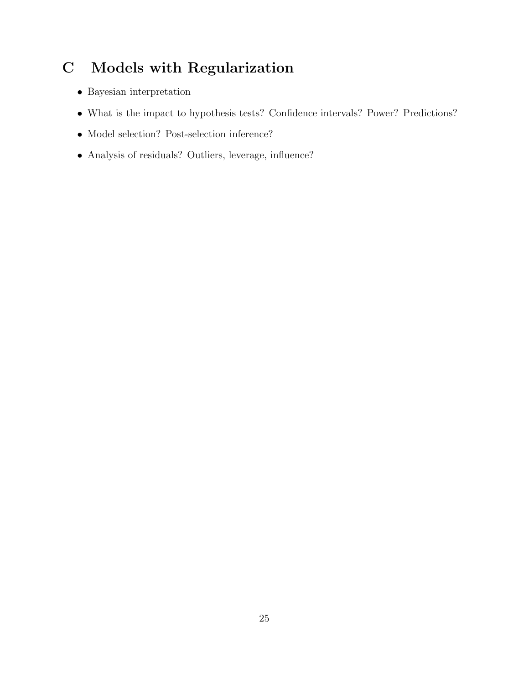## C Models with Regularization

- Bayesian interpretation
- What is the impact to hypothesis tests? Confidence intervals? Power? Predictions?
- Model selection? Post-selection inference?
- Analysis of residuals? Outliers, leverage, influence?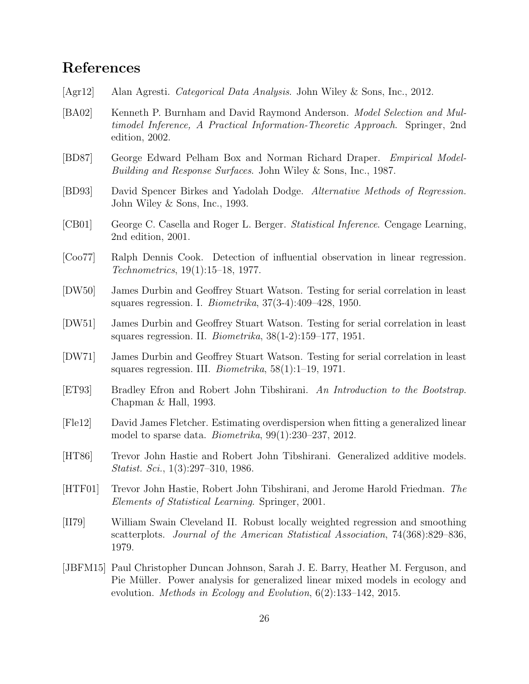### References

- [Agr12] Alan Agresti. Categorical Data Analysis. John Wiley & Sons, Inc., 2012.
- [BA02] Kenneth P. Burnham and David Raymond Anderson. *Model Selection and Mul*timodel Inference, A Practical Information-Theoretic Approach. Springer, 2nd edition, 2002.
- [BD87] George Edward Pelham Box and Norman Richard Draper. Empirical Model-Building and Response Surfaces. John Wiley & Sons, Inc., 1987.
- [BD93] David Spencer Birkes and Yadolah Dodge. Alternative Methods of Regression. John Wiley & Sons, Inc., 1993.
- [CB01] George C. Casella and Roger L. Berger. Statistical Inference. Cengage Learning, 2nd edition, 2001.
- [Coo77] Ralph Dennis Cook. Detection of influential observation in linear regression. Technometrics, 19(1):15–18, 1977.
- [DW50] James Durbin and Geoffrey Stuart Watson. Testing for serial correlation in least squares regression. I. Biometrika, 37(3-4):409–428, 1950.
- [DW51] James Durbin and Geoffrey Stuart Watson. Testing for serial correlation in least squares regression. II. *Biometrika*,  $38(1-2):159-177$ , 1951.
- [DW71] James Durbin and Geoffrey Stuart Watson. Testing for serial correlation in least squares regression. III. *Biometrika*,  $58(1):1-19$ , 1971.
- [ET93] Bradley Efron and Robert John Tibshirani. An Introduction to the Bootstrap. Chapman & Hall, 1993.
- [Fle12] David James Fletcher. Estimating overdispersion when fitting a generalized linear model to sparse data. Biometrika, 99(1):230–237, 2012.
- [HT86] Trevor John Hastie and Robert John Tibshirani. Generalized additive models. Statist. Sci., 1(3):297–310, 1986.
- [HTF01] Trevor John Hastie, Robert John Tibshirani, and Jerome Harold Friedman. The Elements of Statistical Learning. Springer, 2001.
- [II79] William Swain Cleveland II. Robust locally weighted regression and smoothing scatterplots. Journal of the American Statistical Association, 74(368):829–836, 1979.
- [JBFM15] Paul Christopher Duncan Johnson, Sarah J. E. Barry, Heather M. Ferguson, and Pie Müller. Power analysis for generalized linear mixed models in ecology and evolution. Methods in Ecology and Evolution, 6(2):133–142, 2015.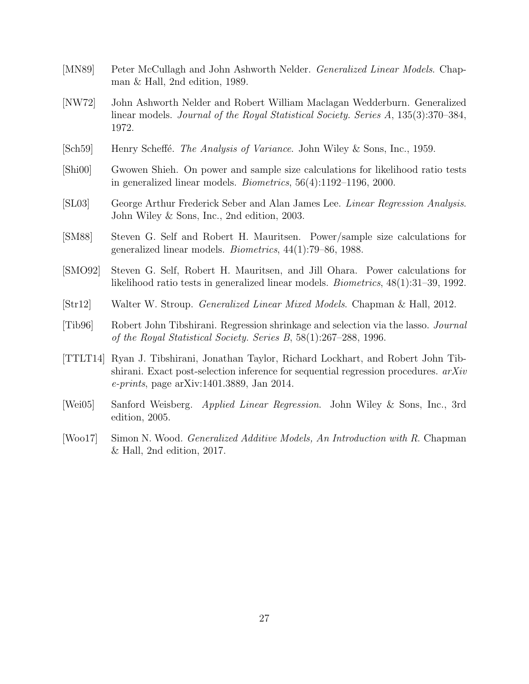- [MN89] Peter McCullagh and John Ashworth Nelder. *Generalized Linear Models*. Chapman & Hall, 2nd edition, 1989.
- [NW72] John Ashworth Nelder and Robert William Maclagan Wedderburn. Generalized linear models. Journal of the Royal Statistical Society. Series A, 135(3):370–384, 1972.
- [Sch59] Henry Scheffé. *The Analysis of Variance*. John Wiley & Sons, Inc., 1959.
- [Shi00] Gwowen Shieh. On power and sample size calculations for likelihood ratio tests in generalized linear models. Biometrics, 56(4):1192–1196, 2000.
- [SL03] George Arthur Frederick Seber and Alan James Lee. *Linear Regression Analysis.* John Wiley & Sons, Inc., 2nd edition, 2003.
- [SM88] Steven G. Self and Robert H. Mauritsen. Power/sample size calculations for generalized linear models. Biometrics, 44(1):79–86, 1988.
- [SMO92] Steven G. Self, Robert H. Mauritsen, and Jill Ohara. Power calculations for likelihood ratio tests in generalized linear models. Biometrics, 48(1):31–39, 1992.
- [Str12] Walter W. Stroup. Generalized Linear Mixed Models. Chapman & Hall, 2012.
- [Tib96] Robert John Tibshirani. Regression shrinkage and selection via the lasso. Journal of the Royal Statistical Society. Series B, 58(1):267–288, 1996.
- [TTLT14] Ryan J. Tibshirani, Jonathan Taylor, Richard Lockhart, and Robert John Tibshirani. Exact post-selection inference for sequential regression procedures.  $arXiv$ e-prints, page arXiv:1401.3889, Jan 2014.
- [Wei05] Sanford Weisberg. Applied Linear Regression. John Wiley & Sons, Inc., 3rd edition, 2005.
- [Woo17] Simon N. Wood. Generalized Additive Models, An Introduction with R. Chapman & Hall, 2nd edition, 2017.